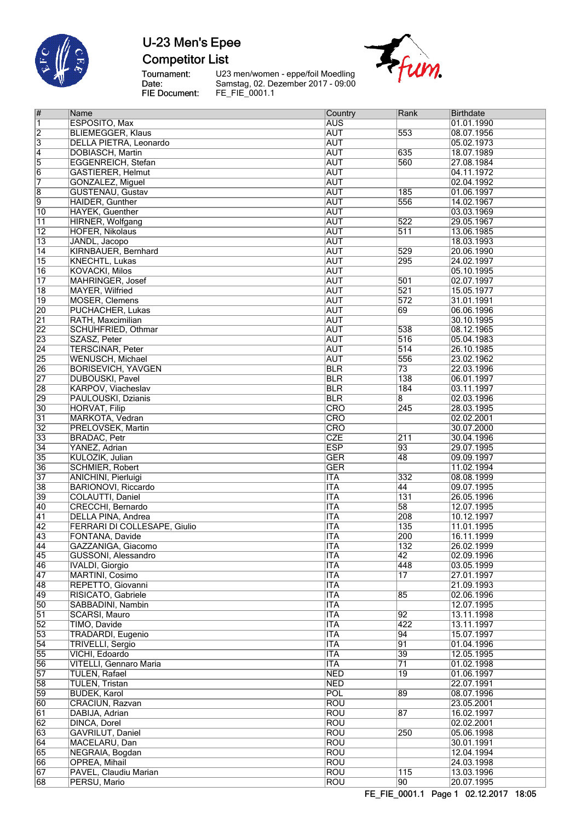

**Competitor List** 

Tournament:<br>Date:<br>FIE Document:

U23 men/women - eppe/foil Moedling<br>Samstag, 02. Dezember 2017 - 09:00<br>FE\_FIE\_0001.1



| $\overline{\#}$     | Name                                | Country    | Rank             | Birthdate  |
|---------------------|-------------------------------------|------------|------------------|------------|
| $\overline{1}$      | ESPOSITO, Max                       | <b>AUS</b> |                  | 01.01.1990 |
| $\overline{2}$      | <b>BLIEMEGGER, Klaus</b>            | <b>AUT</b> | 553              | 08.07.1956 |
| 3                   | <b>DELLA PIETRA, Leonardo</b>       | <b>AUT</b> |                  | 05.02.1973 |
| $\overline{4}$      | DOBIASCH, Martin                    | <b>AUT</b> | 635              | 18.07.1989 |
| 5                   | <b>EGGENREICH, Stefan</b>           | <b>AUT</b> | 560              | 27.08.1984 |
| $\overline{6}$      | <b>GASTIERER, Helmut</b>            | <b>AUT</b> |                  | 04.11.1972 |
| $\overline{7}$      |                                     | <b>AUT</b> |                  |            |
|                     | GONZALEZ, Miguel                    |            |                  | 02.04.1992 |
| $\overline{\bm{8}}$ | <b>GUSTENAU, Gustav</b>             | <b>AUT</b> | 185              | 01.06.1997 |
| $\overline{9}$      | <b>HAIDER, Gunther</b>              | <b>AUT</b> | 556              | 14.02.1967 |
| 10                  | <b>HAYEK, Guenther</b>              | <b>AUT</b> |                  | 03.03.1969 |
| $\overline{11}$     | HIRNER, Wolfgang                    | <b>AUT</b> | 522              | 29.05.1967 |
| $\overline{12}$     | <b>HOFER, Nikolaus</b>              | <b>AUT</b> | $\overline{511}$ | 13.06.1985 |
| $\overline{13}$     | JANDL, Jacopo                       | <b>AUT</b> |                  | 18.03.1993 |
| $\overline{14}$     | KIRNBAUER, Bernhard                 | <b>AUT</b> | 529              | 20.06.1990 |
| $\overline{15}$     | <b>KNECHTL, Lukas</b>               | <b>AUT</b> | 295              | 24.02.1997 |
| $\overline{16}$     | <b>KOVACKI, Milos</b>               | <b>AUT</b> |                  | 05.10.1995 |
| $\overline{17}$     | <b>MAHRINGER, Josef</b>             | <b>AUT</b> | 501              | 02.07.1997 |
| $\overline{18}$     | <b>MAYER, Wilfried</b>              | <b>AUT</b> | 521              | 15.05.1977 |
| $\overline{19}$     | <b>MOSER, Clemens</b>               | <b>AUT</b> | 572              | 31.01.1991 |
| 20                  | PUCHACHER, Lukas                    | <b>AUT</b> | 69               | 06.06.1996 |
| $\overline{21}$     | RATH, Maxcimilian                   | <b>AUT</b> |                  | 30.10.1995 |
| $\overline{22}$     | <b>SCHUHFRIED, Othmar</b>           | <b>AUT</b> | 538              | 08.12.1965 |
| 23                  | SZASZ, Peter                        | <b>AUT</b> | 516              | 05.04.1983 |
| $\overline{24}$     | <b>TERSCINAR, Peter</b>             | <b>AUT</b> | 514              | 26.10.1985 |
| $\overline{25}$     | <b>WENUSCH, Michael</b>             | <b>AUT</b> | 556              | 23.02.1962 |
| 26                  | <b>BORISEVICH, YAVGEN</b>           | <b>BLR</b> | $\overline{73}$  | 22.03.1996 |
| $\overline{27}$     | <b>DUBOUSKI, Pavel</b>              | <b>BLR</b> | 138              | 06.01.1997 |
| 28                  | KARPOV, Viacheslav                  | <b>BLR</b> | 184              | 03.11.1997 |
| 29                  | PAULOUSKI, Dzianis                  | <b>BLR</b> | $\overline{8}$   | 02.03.1996 |
| 30                  | <b>HORVAT, Filip</b>                | CRO        | 245              | 28.03.1995 |
| $\overline{31}$     | MARKOTA, Vedran                     | CRO        |                  | 02.02.2001 |
| $\overline{32}$     | PRELOVSEK, Martin                   | CRO        |                  | 30.07.2000 |
| 33                  | <b>BRADAC, Petr</b>                 | <b>CZE</b> | 211              | 30.04.1996 |
| 34                  | YANEZ, Adrian                       | <b>ESP</b> | 93               | 29.07.1995 |
| 35                  | KULOZIK, Julian                     | <b>GER</b> | 48               | 09.09.1997 |
| 36                  | <b>SCHMIER, Robert</b>              | <b>GER</b> |                  | 11.02.1994 |
| 37                  | <b>ANICHINI</b> , Pierluigi         | <b>ITA</b> | 332              | 08.08.1999 |
| 38                  | <b>BARIONOVI, Riccardo</b>          | <b>ITA</b> | 44               | 09.07.1995 |
| 39                  | <b>COLAUTTI, Daniel</b>             | <b>ITA</b> | 131              | 26.05.1996 |
| 40                  | <b>CRECCHI</b> , Bernardo           | <b>ITA</b> | $\overline{58}$  | 12.07.1995 |
| 41                  | <b>DELLA PINA, Andrea</b>           | <b>ITA</b> | 208              | 10.12.1997 |
| $\overline{42}$     | <b>FERRARI DI COLLESAPE, Giulio</b> | <b>ITA</b> | 135              | 11.01.1995 |
| 43                  | FONTANA, Davide                     | <b>ITA</b> | 200              | 16.11.1999 |
| 44                  | GAZZANIGA, Giacomo                  | ITA        | 132              | 26.02.1999 |
| 45                  | GUSSONI, Alessandro                 | <b>ITA</b> | $\overline{42}$  | 02.09.1996 |
| 46                  | <b>IVALDI</b> , Giorgio             | <b>ITA</b> | 448              | 03.05.1999 |
| 47                  | <b>MARTINI, Cosimo</b>              | <b>ITA</b> | $\overline{17}$  | 27.01.1997 |
| 48                  | REPETTO, Giovanni                   | <b>ITA</b> |                  | 21.09.1993 |
| 49                  | RISICATO, Gabriele                  | <b>ITA</b> | 85               | 02.06.1996 |
| 50                  | SABBADINI, Nambin                   | <b>ITA</b> |                  | 12.07.1995 |
| $\overline{51}$     | SCARSI, Mauro                       | <b>ITA</b> | 92               | 13.11.1998 |
| $\overline{52}$     | TIMO, Davide                        | <b>ITA</b> | 422              | 13.11.1997 |
| 53                  | <b>TRADARDI, Eugenio</b>            | <b>ITA</b> | 94               | 15.07.1997 |
| $\overline{54}$     | <b>TRIVELLI, Sergio</b>             | <b>ITA</b> | $\overline{91}$  | 01.04.1996 |
| 55                  | VICHI, Edoardo                      | <b>ITA</b> | $\overline{39}$  | 12.05.1995 |
| 56                  | <b>VITELLI, Gennaro Maria</b>       | <b>ITA</b> | $\overline{71}$  | 01.02.1998 |
| 57                  | <b>TULEN, Rafael</b>                | <b>NED</b> | $\overline{19}$  | 01.06.1997 |
| 58                  | <b>TULEN, Tristan</b>               | <b>NED</b> |                  | 22.07.1991 |
| 59                  | <b>BUDEK, Karol</b>                 | <b>POL</b> | 89               | 08.07.1996 |
| 60                  | CRACIUN, Razvan                     | <b>ROU</b> |                  | 23.05.2001 |
| $\overline{61}$     | DABIJA, Adrian                      | <b>ROU</b> | 87               | 16.02.1997 |
| 62                  | <b>DINCA, Dorel</b>                 | <b>ROU</b> |                  | 02.02.2001 |
| 63                  | GAVRILUT, Daniel                    | <b>ROU</b> | 250              | 05.06.1998 |
| 64                  | MACELARU, Dan                       | <b>ROU</b> |                  | 30.01.1991 |
| 65                  | NEGRAIA, Bogdan                     | <b>ROU</b> |                  | 12.04.1994 |
| 66                  | <b>OPREA, Mihail</b>                | <b>ROU</b> |                  | 24.03.1998 |
| 67                  | PAVEL, Claudiu Marian               | <b>ROU</b> | 115              | 13.03.1996 |
| 68                  | PERSU, Mario                        | <b>ROU</b> | $\overline{90}$  | 20.07.1995 |
|                     |                                     |            |                  |            |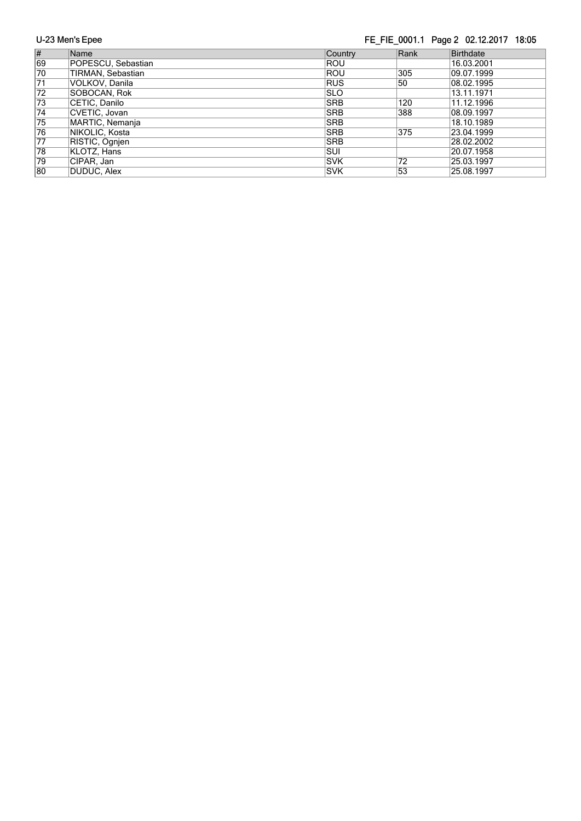## FE\_FIE\_0001.1 Page 2 02.12.2017 18:05

| $\vert \#$      | Name               | <b>Country</b> | Rank | Birthdate  |
|-----------------|--------------------|----------------|------|------------|
| 69              | POPESCU, Sebastian | Rou            |      | 16.03.2001 |
| 70              | TIRMAN, Sebastian  | <b>ROU</b>     | 305  | 09.07.1999 |
| $\overline{71}$ | VOLKOV, Danila     | <b>RUS</b>     | 50   | 08.02.1995 |
| $\overline{72}$ | SOBOCAN, Rok       | <b>ISLO</b>    |      | 13.11.1971 |
| 73              | CETIC, Danilo      | <b>SRB</b>     | 120  | 11.12.1996 |
| $\overline{74}$ | CVETIC, Jovan      | <b>SRB</b>     | 388  | 08.09.1997 |
| 75              | MARTIC, Nemanja    | <b>SRB</b>     |      | 18.10.1989 |
| 76              | NIKOLIC, Kosta     | <b>SRB</b>     | 375  | 23.04.1999 |
| 77              | RISTIC, Ognjen     | <b>SRB</b>     |      | 28.02.2002 |
| 78              | KLOTZ, Hans        | SUI            |      | 20.07.1958 |
| 79              | CIPAR, Jan         | <b>ISVK</b>    | 72   | 25.03.1997 |
| 80              | DUDUC, Alex        | <b>SVK</b>     | 53   | 25.08.1997 |

U-23 Men's Epee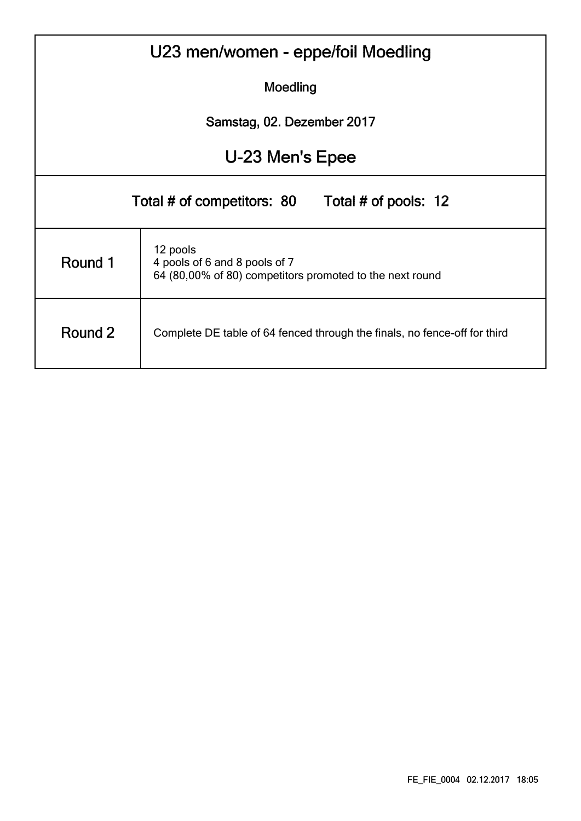| U23 men/women - eppe/foil Moedling                                                                               |          |  |  |  |  |  |  |  |  |  |  |  |  |
|------------------------------------------------------------------------------------------------------------------|----------|--|--|--|--|--|--|--|--|--|--|--|--|
|                                                                                                                  | Moedling |  |  |  |  |  |  |  |  |  |  |  |  |
| Samstag, 02. Dezember 2017                                                                                       |          |  |  |  |  |  |  |  |  |  |  |  |  |
| U-23 Men's Epee                                                                                                  |          |  |  |  |  |  |  |  |  |  |  |  |  |
| Total # of competitors: 80<br>Total # of pools: 12                                                               |          |  |  |  |  |  |  |  |  |  |  |  |  |
| 12 pools<br>Round 1<br>4 pools of 6 and 8 pools of 7<br>64 (80,00% of 80) competitors promoted to the next round |          |  |  |  |  |  |  |  |  |  |  |  |  |
| Round 2<br>Complete DE table of 64 fenced through the finals, no fence-off for third                             |          |  |  |  |  |  |  |  |  |  |  |  |  |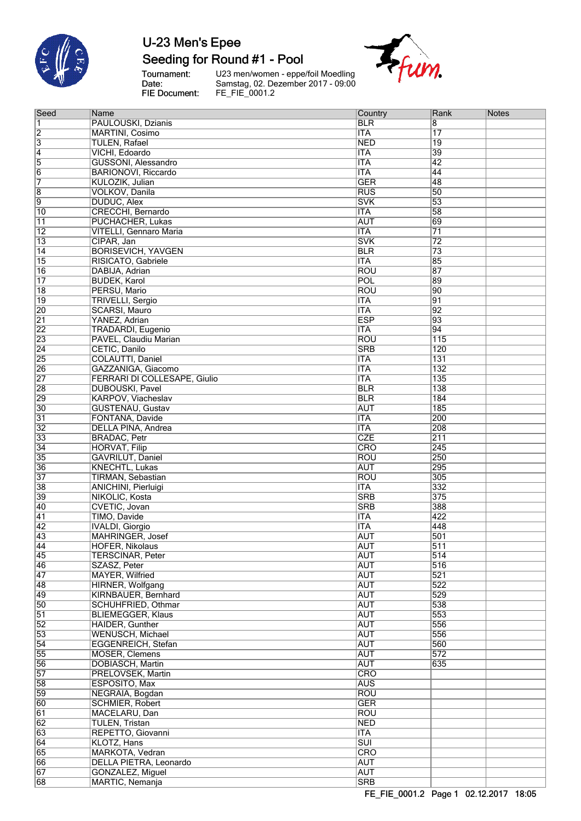

## Seeding for Round #1 - Pool

Tournament:<br>Date: FIE Document:

U23 men/women - eppe/foil Moedling<br>Samstag, 02. Dezember 2017 - 09:00<br>FE\_FIE\_0001.2



| Seed            | Name                          | Country                 | Rank            | Notes |
|-----------------|-------------------------------|-------------------------|-----------------|-------|
| $\overline{1}$  | PAULOUSKI, Dzianis            | <b>BLR</b>              | 8               |       |
| $\overline{2}$  | MARTINI, Cosimo               | <b>ITA</b>              | $\overline{17}$ |       |
| $\overline{3}$  | <b>TULEN, Rafael</b>          | <b>NED</b>              | $\overline{19}$ |       |
| $\overline{4}$  | VICHI, Edoardo                | <b>ITA</b>              | 39              |       |
| $\overline{5}$  | <b>GUSSONI, Alessandro</b>    | <b>ITA</b>              | 42              |       |
| $\overline{6}$  | <b>BARIONOVI, Riccardo</b>    | <b>ITA</b>              | 44              |       |
| 7               | KULOZIK, Julian               | <b>GER</b>              | 48              |       |
|                 |                               |                         |                 |       |
| $\overline{8}$  | VOLKOV, Danila                | <b>RUS</b>              | $\overline{50}$ |       |
| $\overline{9}$  | <b>DUDUC, Alex</b>            | <b>SVK</b>              | 53              |       |
| 10              | CRECCHI, Bernardo             | <b>ITA</b>              | 58              |       |
| $\overline{11}$ | PUCHACHER, Lukas              | <b>AUT</b>              | 69              |       |
| $\overline{12}$ | VITELLI, Gennaro Maria        | <b>ITA</b>              | $\overline{71}$ |       |
| $\overline{13}$ | CIPAR, Jan                    | <b>SVK</b>              | $\overline{72}$ |       |
| $\overline{14}$ | <b>BORISEVICH, YAVGEN</b>     | <b>BLR</b>              | 73              |       |
| $\overline{15}$ | RISICATO, Gabriele            | <b>ITA</b>              | 85              |       |
| 16              | DABIJA, Adrian                | <b>ROU</b>              | 87              |       |
| $\overline{17}$ | <b>BUDEK, Karol</b>           | POL                     | 89              |       |
| 18              | PERSU, Mario                  | <b>ROU</b>              | $ 90\rangle$    |       |
|                 |                               |                         |                 |       |
| $ 19\rangle$    | <b>TRIVELLI, Sergio</b>       | <b>ITA</b>              | 91              |       |
| $\overline{20}$ | <b>SCARSI, Mauro</b>          | <b>ITA</b>              | 92              |       |
| $\overline{21}$ | YANEZ, Adrian                 | <b>ESP</b>              | 93              |       |
| $\overline{22}$ | <b>TRADARDI, Eugenio</b>      | <b>ITA</b>              | 94              |       |
| $\overline{23}$ | PAVEL, Claudiu Marian         | <b>ROU</b>              | 115             |       |
| $\overline{24}$ | CETIC, Danilo                 | <b>SRB</b>              | 120             |       |
| 25              | <b>COLAUTTI, Daniel</b>       | <b>ITA</b>              | 131             |       |
| 26              | GAZZANIGA, Giacomo            | <b>ITA</b>              | 132             |       |
| $\overline{27}$ | FERRARI DI COLLESAPE, Giulio  | <b>ITA</b>              | 135             |       |
| 28              | <b>DUBOUSKI, Pavel</b>        | <b>BLR</b>              | 138             |       |
| 29              | KARPOV, Viacheslav            | <b>BLR</b>              | 184             |       |
|                 |                               |                         |                 |       |
| 30              | <b>GUSTENAU, Gustav</b>       | <b>AUT</b>              | 185             |       |
| $\overline{31}$ | FONTANA, Davide               | <b>ITA</b>              | 200             |       |
| $\overline{32}$ | <b>DELLA PINA, Andrea</b>     | <b>ITA</b>              | 208             |       |
| 33              | <b>BRADAC, Petr</b>           | <b>CZE</b>              | 211             |       |
| 34              | <b>HORVAT, Filip</b>          | <b>CRO</b>              | 245             |       |
| 35              | GAVRILUT, Daniel              | <b>ROU</b>              | 250             |       |
| 36              | <b>KNECHTL, Lukas</b>         | <b>AUT</b>              | 295             |       |
| $\overline{37}$ | TIRMAN, Sebastian             | <b>ROU</b>              | 305             |       |
| 38              | <b>ANICHINI, Pierluigi</b>    | <b>ITA</b>              | 332             |       |
| 39              | NIKOLIC, Kosta                | <b>SRB</b>              | 375             |       |
| 40              | CVETIC, Jovan                 | <b>SRB</b>              | 388             |       |
|                 |                               |                         |                 |       |
| 41              | TIMO, Davide                  | <b>ITA</b>              | 422             |       |
| $\overline{42}$ | <b>IVALDI</b> , Giorgio       | <b>ITA</b>              | 448             |       |
| 43              | <b>MAHRINGER, Josef</b>       | <b>AUT</b>              | 501             |       |
| 44              | <b>HOFER, Nikolaus</b>        | <b>AUT</b>              | 511             |       |
| 45              | <b>TERSCINAR, Peter</b>       | <b>AUT</b>              | 514             |       |
| 46              | SZASZ, Peter                  | <b>AUT</b>              | 516             |       |
| $\overline{47}$ | <b>MAYER, Wilfried</b>        | <b>AUT</b>              | 521             |       |
| 48              | HIRNER, Wolfgang              | <b>AUT</b>              | 522             |       |
| 49              | KIRNBAUER, Bernhard           | <b>AUT</b>              | 529             |       |
| 50              | <b>SCHUHFRIED, Othmar</b>     | <b>AUT</b>              | 538             |       |
| $\overline{51}$ | <b>BLIEMEGGER, Klaus</b>      | <b>AUT</b>              | 553             |       |
|                 |                               |                         |                 |       |
| $\overline{52}$ | HAIDER, Gunther               | <b>AUT</b>              | 556             |       |
| 53              | <b>WENUSCH, Michael</b>       | <b>AUT</b>              | 556             |       |
| $\overline{54}$ | EGGENREICH, Stefan            | <b>AUT</b>              | 560             |       |
| 55              | MOSER, Clemens                | AUT                     | 572             |       |
| 56              | DOBIASCH, Martin              | <b>AUT</b>              | 635             |       |
| 57              | PRELOVSEK, Martin             | CRO                     |                 |       |
| 58              | ESPOSITO, Max                 | <b>AUS</b>              |                 |       |
| 59              | NEGRAIA, Bogdan               | <b>ROU</b>              |                 |       |
| 60              | <b>SCHMIER, Robert</b>        | <b>GER</b>              |                 |       |
| $\overline{61}$ | MACELARU, Dan                 | <b>ROU</b>              |                 |       |
|                 |                               | <b>NED</b>              |                 |       |
| $\overline{62}$ | <b>TULEN, Tristan</b>         |                         |                 |       |
| 63              | REPETTO, Giovanni             | <b>ITA</b>              |                 |       |
| $\overline{64}$ | KLOTZ, Hans                   | $\overline{\text{SUI}}$ |                 |       |
| 65              | MARKOTA, Vedran               | CRO                     |                 |       |
| 66              | <b>DELLA PIETRA, Leonardo</b> | <b>AUT</b>              |                 |       |
| $\overline{67}$ | GONZALEZ, Miguel              | <b>AUT</b>              |                 |       |
| 68              | MARTIC, Nemanja               | <b>SRB</b>              |                 |       |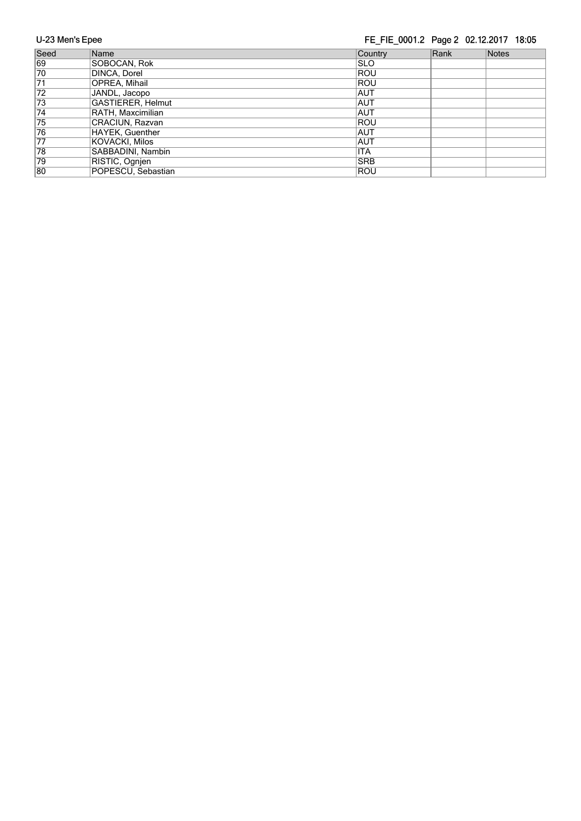FE\_FIE\_0001.2 Page 2 02.12.2017 18:05 U-23 Men's Epee Seed Name Rank Notes 69 SOBOCAN, Rok SLO<br>
70 DINCA, Dorel ROU<br>
71 OPREA, Mihail ROU<br>
72 JANDL, Jacopo AUT<br>
73 GASTIERER, Helmut AUT<br>
74 RATH, Maxcimilian AUT TERNATION DINCA, Dorel ROUTER COMPANY AND ROUTER CONTROL ROUTER OF ROUTER CONTROL ROUTER CONTROL ROUTER CONTROL ROUTER CONTROL ROUTER CONTROL ROUTER CONTROL ROUTER CONTROL ROUTER CONTROL ROUTER CONTROL ROUTER CONTROL ROUTE 71 OPREA, Mihail ROU 12 JANDL, Jacopo<br>
173 GASTIERER, Helmut AUT<br>
174 RATH, Maxcimilian AUT<br>
175 CRACIUN, Razvan ROU 72 JANDL, Jacopo **Automatic Service Service Service Service** AUT 73 GASTIERER, Helmut Australian Australian (AUT 175 CRACIUN, Razvan<br>
176 HAYEK, Guenther AUT<br>
177 KOVACKI, Milos AUT<br>
178 SABBADINI, Nambin ITA<br>
179 RISTIC, Ognjen SRB 76 HAYEK, Guenther AUT 1999 - Maria Barat (1999)<br>
2007 - KOVACKI, Milos (2007)<br>
2007 - SABBADINI, Nambin (1998)<br>
2007 - TTA (1998)<br>
2008 - SRB (1999)<br>
2008 - SRB (1999) 77 KOVACKI, Milos AUT 79 RISTIC, Ognjen SRB<br>80 POPESCU, Sebastian ROU POPESCU, Sebastian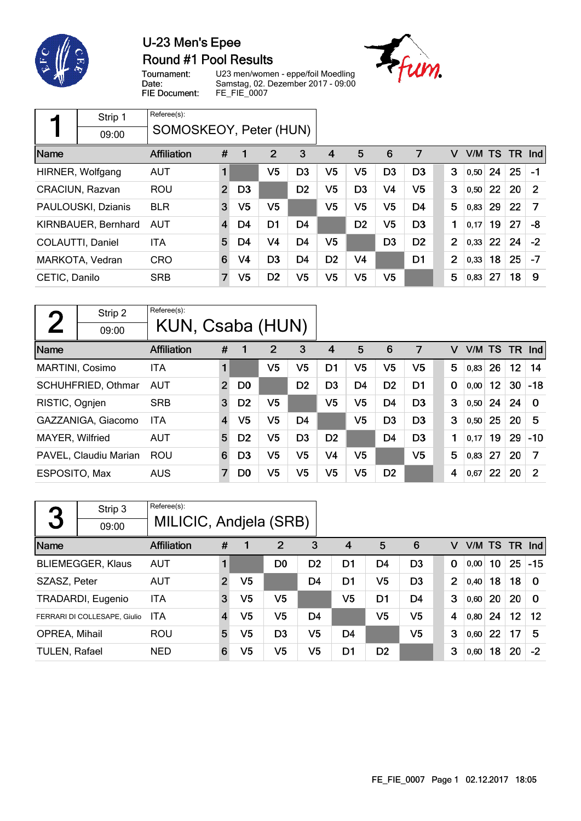

## U-23 Men's Epee **Round #1 Pool Results**



Tournament: Date: FIE Document:

U23 men/women - eppe/foil Moedling Samstag, 02. Dezember 2017 - 09:00 FE\_FIE\_0007

|               | Strip 1                | Referee(s):            |                         |                |                |                |                |                |                |                |                |        |    |     |            |
|---------------|------------------------|------------------------|-------------------------|----------------|----------------|----------------|----------------|----------------|----------------|----------------|----------------|--------|----|-----|------------|
|               | 09:00                  | SOMOSKEOY, Peter (HUN) |                         |                |                |                |                |                |                |                |                |        |    |     |            |
| Name          |                        | Affiliation            | #                       | 1              | $\overline{2}$ | 3              | 4              | 5              | 6              | 7              | v              | V/M TS |    | TR. | <b>Ind</b> |
|               | HIRNER, Wolfgang       | <b>AUT</b>             | 1                       |                | V5             | D <sub>3</sub> | V5             | V5             | D <sub>3</sub> | D <sub>3</sub> | 3              | 0,50   | 24 | 25  | $-1$       |
|               | <b>CRACIUN, Razvan</b> | <b>ROU</b>             | $\overline{2}$          | D <sub>3</sub> |                | D <sub>2</sub> | V5             | D <sub>3</sub> | V <sub>4</sub> | V <sub>5</sub> | 3              | 0,50   | 22 | 20  | 2          |
|               | PAULOUSKI, Dzianis     | <b>BLR</b>             | 3                       | V <sub>5</sub> | V5             |                | V <sub>5</sub> | V5             | V <sub>5</sub> | D <sub>4</sub> | 5              | 0,83   | 29 | 22  | 7          |
|               | KIRNBAUER, Bernhard    | <b>AUT</b>             | $\overline{\mathbf{4}}$ | D4             | D <sub>1</sub> | D4             |                | D <sub>2</sub> | V <sub>5</sub> | D <sub>3</sub> | 1              | 0,17   | 19 | 27  | -8         |
|               | COLAUTTI, Daniel       | <b>ITA</b>             | 5                       | D4             | V4             | D <sub>4</sub> | V5             |                | D <sub>3</sub> | D <sub>2</sub> | $\overline{2}$ | 0,33   | 22 | 24  | $-2$       |
|               | MARKOTA, Vedran        | <b>CRO</b>             | 6                       | V4             | D <sub>3</sub> | D <sub>4</sub> | D <sub>2</sub> | V4             |                | D <sub>1</sub> | $\overline{2}$ | 0,33   | 18 | 25  | $-7$       |
| CETIC, Danilo |                        | <b>SRB</b>             | $\overline{7}$          | V5             | D <sub>2</sub> | V5             | V <sub>5</sub> | V5             | V <sub>5</sub> |                | 5              | 0,83   | 27 | 18  | 9          |

| $\mathbf{\Omega}$ | Strip 2               | Referee(s):        |                         |                |                |                |                |                |                |                |             |        |    |           |            |
|-------------------|-----------------------|--------------------|-------------------------|----------------|----------------|----------------|----------------|----------------|----------------|----------------|-------------|--------|----|-----------|------------|
|                   | 09:00                 | KUN, Csaba (HUN)   |                         |                |                |                |                |                |                |                |             |        |    |           |            |
| Name              |                       | <b>Affiliation</b> | #                       | 1              | $\overline{2}$ | 3              | 4              | 5              | 6              | 7              | v           | V/M TS |    | <b>TR</b> | <b>Ind</b> |
| MARTINI, Cosimo   |                       | <b>ITA</b>         | 1                       |                | V5             | V <sub>5</sub> | D1             | V5             | V <sub>5</sub> | V <sub>5</sub> | 5           | 0,83   | 26 | 12        | 14         |
|                   | SCHUHFRIED, Othmar    | <b>AUT</b>         | $\overline{2}$          | D <sub>0</sub> |                | D <sub>2</sub> | D <sub>3</sub> | D <sub>4</sub> | D <sub>2</sub> | D <sub>1</sub> | $\mathbf 0$ | 0,00   | 12 | 30        | $-18$      |
| RISTIC, Ognjen    |                       | <b>SRB</b>         | 3                       | D <sub>2</sub> | V5             |                | V <sub>5</sub> | V5             | D <sub>4</sub> | D <sub>3</sub> | 3           | 0,50   | 24 | 24        | $\Omega$   |
|                   | GAZZANIGA, Giacomo    | <b>ITA</b>         | $\overline{\mathbf{4}}$ | V5             | V <sub>5</sub> | D <sub>4</sub> |                | V5             | D <sub>3</sub> | D <sub>3</sub> | 3           | 0,50   | 25 | 20        | 5          |
| MAYER, Wilfried   |                       | <b>AUT</b>         | 5                       | D <sub>2</sub> | V5             | D <sub>3</sub> | D <sub>2</sub> |                | D <sub>4</sub> | D <sub>3</sub> | 1           | 0,17   | 19 | 29        | $-10$      |
|                   | PAVEL, Claudiu Marian | <b>ROU</b>         | 6                       | D <sub>3</sub> | V5             | V5             | V4             | V <sub>5</sub> |                | V <sub>5</sub> | 5           | 0,83   | 27 | 20        | 7          |
| ESPOSITO, Max     |                       | <b>AUS</b>         | 7                       | D <sub>0</sub> | V5             | V5             | V5             | V5             | D <sub>2</sub> |                | 4           | 0,67   | 22 | 20        | 2          |

| 3                    | Strip 3<br>09:00             | Referee(s):<br>MILICIC, Andjela (SRB) |                         |                |                |                |                |                |                |                |      |        |      |                   |
|----------------------|------------------------------|---------------------------------------|-------------------------|----------------|----------------|----------------|----------------|----------------|----------------|----------------|------|--------|------|-------------------|
| Name                 |                              | <b>Affiliation</b>                    | #                       |                | 2              | 3              | $\overline{4}$ | 5              | 6              | v              |      | V/M TS | - TR | Ind               |
|                      | <b>BLIEMEGGER, Klaus</b>     | <b>AUT</b>                            |                         |                | D0             | D <sub>2</sub> | D1             | D4             | D <sub>3</sub> | 0              | 0,00 | 10     | 25   | $-15$             |
| SZASZ, Peter         |                              | <b>AUT</b>                            | $\overline{2}$          | V <sub>5</sub> |                | D <sub>4</sub> | D <sub>1</sub> | V <sub>5</sub> | D <sub>3</sub> | $\overline{2}$ | 0,40 | 18     | 18   | $\Omega$          |
|                      | TRADARDI, Eugenio            | <b>ITA</b>                            | 3                       | V <sub>5</sub> | V5             |                | V5             | D <sub>1</sub> | D <sub>4</sub> | 3              | 0,60 | 20     | 20   | 0                 |
|                      | FERRARI DI COLLESAPE, Giulio | <b>ITA</b>                            | $\overline{\mathbf{4}}$ | V <sub>5</sub> | V5             | D <sub>4</sub> |                | V5             | V <sub>5</sub> | 4              | 0,80 | 24     | 12   | $12 \overline{ }$ |
| OPREA, Mihail        |                              | <b>ROU</b>                            | 5                       | V5             | D <sub>3</sub> | V5             | D <sub>4</sub> |                | V <sub>5</sub> | 3              | 0,60 | 22     | 17   | 5                 |
| <b>TULEN, Rafael</b> |                              | <b>NED</b>                            | 6                       | V <sub>5</sub> | V5             | V5             | D <sub>1</sub> | D <sub>2</sub> |                | 3              | 0,60 | 18     | 20   | $-2$              |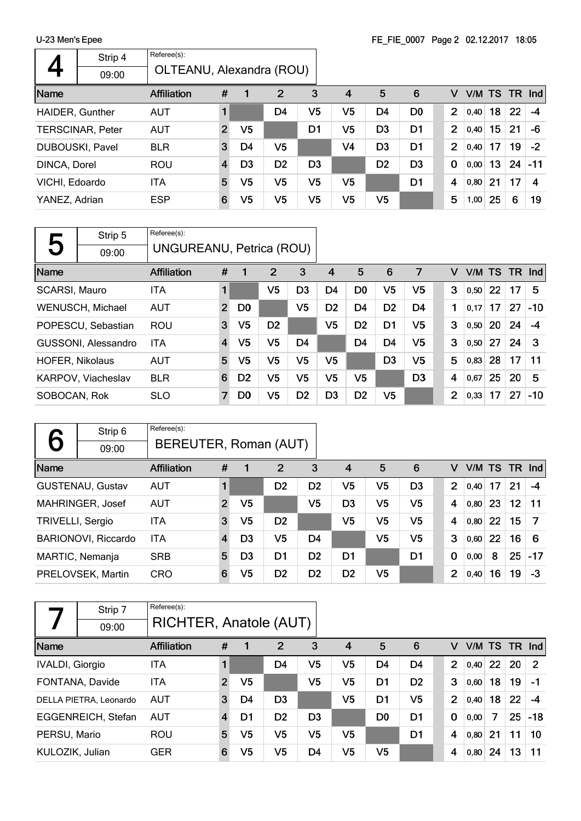|                         | Strip 4         | Referee(s):              |                |                |                |                |                |                |                |                |      |        |    |          |
|-------------------------|-----------------|--------------------------|----------------|----------------|----------------|----------------|----------------|----------------|----------------|----------------|------|--------|----|----------|
|                         | 09:00           | OLTEANU, Alexandra (ROU) |                |                |                |                |                |                |                |                |      |        |    |          |
| Name                    |                 | <b>Affiliation</b>       | #              |                | $\overline{2}$ | 3              | $\overline{4}$ | 5              | 6              | v              |      | V/M TS |    | $TR$ Ind |
| HAIDER, Gunther         |                 | <b>AUT</b>               |                |                | D4             | V5             | V5             | D <sub>4</sub> | D <sub>0</sub> | $\overline{2}$ | 0.40 | 18     | 22 | -4       |
| <b>TERSCINAR, Peter</b> |                 | <b>AUT</b>               | $\overline{2}$ | V <sub>5</sub> |                | D <sub>1</sub> | V5             | D <sub>3</sub> | D <sub>1</sub> | $\overline{2}$ | 0,40 | 15     | 21 | -6       |
|                         | DUBOUSKI, Pavel | <b>BLR</b>               | 3              | D4             | V <sub>5</sub> |                | V <sub>4</sub> | D <sub>3</sub> | D <sub>1</sub> | $\overline{2}$ | 0,40 | 17     | 19 | $-2$     |
| DINCA, Dorel            |                 | <b>ROU</b>               | $\overline{4}$ | D <sub>3</sub> | D <sub>2</sub> | D <sub>3</sub> |                | D <sub>2</sub> | D <sub>3</sub> | $\mathbf 0$    | 0,00 | 13.    | 24 | $-11$    |
| VICHI, Edoardo          |                 | ITA                      | 5              | V5             | V <sub>5</sub> | V <sub>5</sub> | V <sub>5</sub> |                | D <sub>1</sub> | 4              | 0,80 | 21     | 17 | 4        |
| YANEZ, Adrian           |                 | <b>ESP</b>               | 6              | V5             | V <sub>5</sub> | V5             | V <sub>5</sub> | V <sub>5</sub> |                | 5              | 1,00 | 25     | 6  | 19       |

|                        | Strip 5                   | Referee(s):              |                |                |                |                |                |                |                |                |                |        |    |     |       |
|------------------------|---------------------------|--------------------------|----------------|----------------|----------------|----------------|----------------|----------------|----------------|----------------|----------------|--------|----|-----|-------|
| 5                      | 09:00                     | UNGUREANU, Petrica (ROU) |                |                |                |                |                |                |                |                |                |        |    |     |       |
| Name                   |                           | <b>Affiliation</b>       | #              | 1              | 2              | 3              | 4              | 5              | 6              | 7              | v              | V/M TS |    | TR. | Ind   |
| SCARSI, Mauro          |                           | <b>ITA</b>               | 1              |                | V5             | D <sub>3</sub> | D <sub>4</sub> | D <sub>0</sub> | V <sub>5</sub> | V <sub>5</sub> | 3              | 0,50   | 22 | 17  | 5     |
|                        | WENUSCH, Michael          | <b>AUT</b>               | $\overline{2}$ | D <sub>0</sub> |                | V5             | D <sub>2</sub> | D <sub>4</sub> | D <sub>2</sub> | D <sub>4</sub> | 1              | 0,17   | 17 | 27  | $-10$ |
|                        | POPESCU, Sebastian        | ROU                      | 3              | V5             | D <sub>2</sub> |                | V5             | D <sub>2</sub> | D <sub>1</sub> | V <sub>5</sub> | 3              | 0,50   | 20 | 24  | $-4$  |
|                        | GUSSONI, Alessandro       | <b>ITA</b>               | 4              | V5             | V <sub>5</sub> | D4             |                | D <sub>4</sub> | D <sub>4</sub> | V <sub>5</sub> | 3              | 0,50   | 27 | 24  | 3     |
| <b>HOFER, Nikolaus</b> |                           | <b>AUT</b>               | 5              | V5             | V5             | V5             | V5             |                | D <sub>3</sub> | V5             | 5              | 0,83   | 28 | 17  | 11    |
|                        | <b>KARPOV, Viacheslav</b> | <b>BLR</b>               | 6              | D <sub>2</sub> | V5             | V5             | V5             | V5             |                | D <sub>3</sub> | 4              | 0.67   | 25 | 20  | 5     |
| SOBOCAN, Rok           |                           | <b>SLO</b>               | 7              | D <sub>0</sub> | V5             | D <sub>2</sub> | D <sub>3</sub> | D <sub>2</sub> | V5             |                | $\overline{2}$ | 0,33   | 17 | 27  | $-10$ |

|                         | Strip 6                    | Referee(s):           |                |                |                |                |                |                |                |                |        |    |                 |            |
|-------------------------|----------------------------|-----------------------|----------------|----------------|----------------|----------------|----------------|----------------|----------------|----------------|--------|----|-----------------|------------|
|                         | 09:00                      | BEREUTER, Roman (AUT) |                |                |                |                |                |                |                |                |        |    |                 |            |
| Name                    |                            | <b>Affiliation</b>    | #              |                | 2              | 3              | 4              | 5              | 6              | v              | V/M TS |    | <b>TR</b>       | <b>Ind</b> |
|                         | <b>GUSTENAU, Gustav</b>    | <b>AUT</b>            |                |                | D <sub>2</sub> | D <sub>2</sub> | V5             | V <sub>5</sub> | D <sub>3</sub> | $\overline{2}$ | 0,40   | 17 | 21              | $-4$       |
| MAHRINGER, Josef        |                            | <b>AUT</b>            | $\overline{2}$ | V <sub>5</sub> |                | V5             | D <sub>3</sub> | V5             | V5             | 4              | 0,80   | 23 | 12 <sup>°</sup> | 11         |
| <b>TRIVELLI, Sergio</b> |                            | <b>ITA</b>            | 3              | V <sub>5</sub> | D <sub>2</sub> |                | V5             | V5             | V <sub>5</sub> | 4              | 0,80   | 22 | 15              | 7          |
|                         | <b>BARIONOVI, Riccardo</b> | <b>ITA</b>            | $\overline{4}$ | D <sub>3</sub> | V5             | D4             |                | V <sub>5</sub> | V5             | 3              | 0,60   | 22 | 16              | 6          |
|                         | MARTIC, Nemanja            | <b>SRB</b>            | 5              | D <sub>3</sub> | D1             | D <sub>2</sub> | D1             |                | D1             | 0              | 0,00   | 8  | 25              | $-17$      |
| PRELOVSEK, Martin       |                            | <b>CRO</b>            | 6              | V5             | D <sub>2</sub> | D <sub>2</sub> | D <sub>2</sub> | V <sub>5</sub> |                | 2              | 0,40   | 16 | 19              | $-3$       |

|                 | Strip 7                | Referee(s):            |                |                |                |                |                |                |                |                |      |        |     |                |
|-----------------|------------------------|------------------------|----------------|----------------|----------------|----------------|----------------|----------------|----------------|----------------|------|--------|-----|----------------|
|                 | 09:00                  | RICHTER, Anatole (AUT) |                |                |                |                |                |                |                |                |      |        |     |                |
| Name            |                        | <b>Affiliation</b>     | #              |                | 2              | 3              | 4              | 5              | 6              | v              |      | V/M TS | TR. | Ind            |
| IVALDI, Giorgio |                        | ITA                    |                |                | D4             | V5             | V5             | D4             | D4             | $\overline{2}$ | 0,40 | 22     | 20  | $\overline{2}$ |
| FONTANA, Davide |                        | <b>ITA</b>             | $\overline{2}$ | V <sub>5</sub> |                | V5             | V5             | D <sub>1</sub> | D <sub>2</sub> | 3              | 0,60 | 18     | 19  | -1             |
|                 | DELLA PIETRA, Leonardo | <b>AUT</b>             | 3              | D4             | D <sub>3</sub> |                | V5             | D <sub>1</sub> | V <sub>5</sub> | 2              | 0,40 | 18     | 22  | $-4$           |
|                 | EGGENREICH, Stefan     | <b>AUT</b>             | 4              | D1             | D <sub>2</sub> | D <sub>3</sub> |                | D <sub>0</sub> | D <sub>1</sub> | 0              | 0,00 | 7      | 25  | $-18$          |
| PERSU, Mario    |                        | ROU                    | 5              | V5             | V5             | V <sub>5</sub> | V <sub>5</sub> |                | D <sub>1</sub> | 4              | 0,80 | 21     | 11  | 10             |
| KULOZIK, Julian |                        | <b>GER</b>             | 6              | V5             | V <sub>5</sub> | D <sub>4</sub> | V5             | V5             |                | 4              | 0,80 | 24     | 13  | 11             |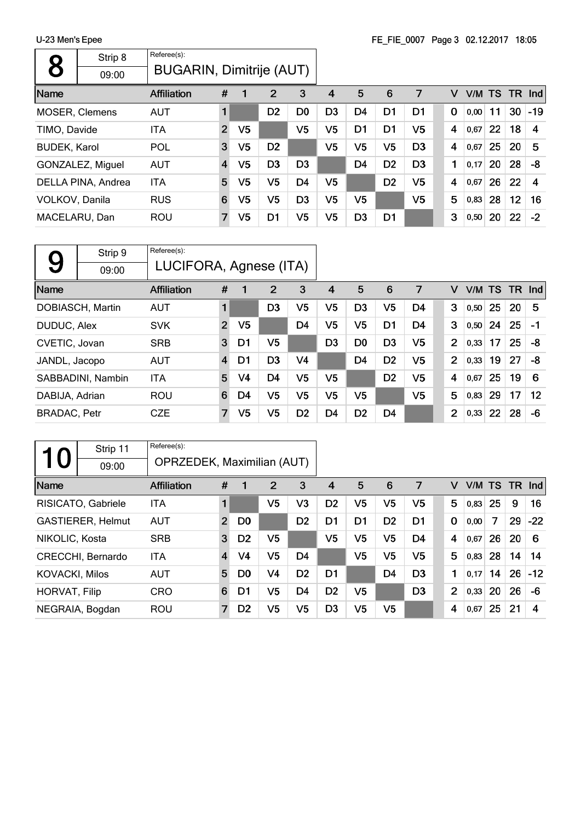| 8                     | Strip 8            | Referee(s):                     |                |                |                |                |                |                |                |                |   |        |    |     |       |
|-----------------------|--------------------|---------------------------------|----------------|----------------|----------------|----------------|----------------|----------------|----------------|----------------|---|--------|----|-----|-------|
|                       | 09:00              | <b>BUGARIN, Dimitrije (AUT)</b> |                |                |                |                |                |                |                |                |   |        |    |     |       |
| Name                  |                    | <b>Affiliation</b>              | #              | 1              | 2              | 3              | 4              | 5              | 6              | 7              | v | V/M TS |    | TR. | Ind   |
| <b>MOSER, Clemens</b> |                    | <b>AUT</b>                      |                |                | D <sub>2</sub> | D <sub>0</sub> | D <sub>3</sub> | D <sub>4</sub> | D <sub>1</sub> | D1             | 0 | 0,00   | 11 | 30  | $-19$ |
| TIMO, Davide          |                    | ITA                             | $\overline{2}$ | V <sub>5</sub> |                | V5             | V5             | D <sub>1</sub> | D <sub>1</sub> | V <sub>5</sub> | 4 | 0.67   | 22 | 18  | 4     |
| <b>BUDEK, Karol</b>   |                    | POL                             | 3              | V5             | D <sub>2</sub> |                | V5             | V <sub>5</sub> | V <sub>5</sub> | D <sub>3</sub> | 4 | 0.67   | 25 | 20  | 5     |
|                       | GONZALEZ, Miguel   | <b>AUT</b>                      | $\overline{4}$ | V <sub>5</sub> | D <sub>3</sub> | D <sub>3</sub> |                | D <sub>4</sub> | D <sub>2</sub> | D <sub>3</sub> | 1 | 0,17   | 20 | 28  | -8    |
|                       | DELLA PINA, Andrea | <b>ITA</b>                      | 5              | V5             | V <sub>5</sub> | D <sub>4</sub> | V5             |                | D <sub>2</sub> | V <sub>5</sub> | 4 | 0.67   | 26 | 22  | 4     |
| VOLKOV, Danila        |                    | <b>RUS</b>                      | 6              | V5             | V5             | D <sub>3</sub> | V5             | V <sub>5</sub> |                | V5             | 5 | 0,83   | 28 | 12  | 16    |
| MACELARU, Dan         |                    | <b>ROU</b>                      | 7              | V5             | D <sub>1</sub> | V5             | V5             | D <sub>3</sub> | D <sub>1</sub> |                | 3 | 0, 50  | 20 | 22  | $-2$  |

|                     | Strip 9           | Referee(s):        |                         |                |                |                |                |                |                |                |                |      |           |     |     |
|---------------------|-------------------|--------------------|-------------------------|----------------|----------------|----------------|----------------|----------------|----------------|----------------|----------------|------|-----------|-----|-----|
| 9                   | 09:00             |                    | LUCIFORA, Agnese (ITA)  |                |                |                |                |                |                |                |                |      |           |     |     |
| Name                |                   | <b>Affiliation</b> | #                       | 1              | 2              | 3              | 4              | 5              | 6              | 7              | v              | V/M  | <b>TS</b> | TR. | Ind |
|                     | DOBIASCH, Martin  | <b>AUT</b>         | 1                       |                | D <sub>3</sub> | V5             | V <sub>5</sub> | D <sub>3</sub> | V <sub>5</sub> | D4             | 3              | 0,50 | 25        | 20  | 5   |
| DUDUC, Alex         |                   | <b>SVK</b>         | 2                       | V <sub>5</sub> |                | D <sub>4</sub> | V5             | V <sub>5</sub> | D <sub>1</sub> | D <sub>4</sub> | 3              | 0,50 | 24        | 25  | -1  |
| CVETIC, Jovan       |                   | <b>SRB</b>         | 3                       | D1             | V5             |                | D <sub>3</sub> | D <sub>0</sub> | D <sub>3</sub> | V5             | $\overline{2}$ | 0,33 | 17        | 25  | -8  |
| JANDL, Jacopo       |                   | <b>AUT</b>         | $\overline{\mathbf{4}}$ | D1             | D <sub>3</sub> | V4             |                | D <sub>4</sub> | D <sub>2</sub> | V5             | $\overline{2}$ | 0,33 | 19        | 27  | -8  |
|                     | SABBADINI, Nambin | <b>ITA</b>         | 5                       | V <sub>4</sub> | D <sub>4</sub> | V5             | V <sub>5</sub> |                | D <sub>2</sub> | V5             | 4              | 0,67 | 25        | 19  | 6   |
| DABIJA, Adrian      |                   | ROU                | 6                       | D4             | V5             | V5             | V5             | V <sub>5</sub> |                | V5             | 5              | 0,83 | 29        | 17  | 12  |
| <b>BRADAC, Petr</b> |                   | <b>CZE</b>         | 7                       | V5             | V5             | D <sub>2</sub> | D <sub>4</sub> | D <sub>2</sub> | D <sub>4</sub> |                | $\overline{2}$ | 0,33 | 22        | 28  | -6  |

|                       | Strip 11                 | Referee(s):                |                |                |                |                |                |                |                |                |                |      |    |           |                      |
|-----------------------|--------------------------|----------------------------|----------------|----------------|----------------|----------------|----------------|----------------|----------------|----------------|----------------|------|----|-----------|----------------------|
| <b>O</b>              | 09:00                    | OPRZEDEK, Maximilian (AUT) |                |                |                |                |                |                |                |                |                |      |    |           |                      |
| Name                  |                          | <b>Affiliation</b>         | #              | 1              | 2              | 3              | 4              | 5              | 6              | 7              | v              | V/M  | TS | <b>TR</b> | $\lfloor nd \rfloor$ |
|                       | RISICATO, Gabriele       | ITA                        | 1              |                | V <sub>5</sub> | V3             | D <sub>2</sub> | V <sub>5</sub> | V <sub>5</sub> | V <sub>5</sub> | 5              | 0,83 | 25 | 9         | 16                   |
|                       | <b>GASTIERER, Helmut</b> | <b>AUT</b>                 | 2 <sup>2</sup> | D <sub>0</sub> |                | D <sub>2</sub> | D1             | D <sub>1</sub> | D <sub>2</sub> | D <sub>1</sub> | $\bf{0}$       | 0,00 | 7  | 29        | $-22$                |
| NIKOLIC, Kosta        |                          | <b>SRB</b>                 | 3              | D <sub>2</sub> | V <sub>5</sub> |                | V <sub>5</sub> | V <sub>5</sub> | V <sub>5</sub> | D <sub>4</sub> | 4              | 0,67 | 26 | 20        | 6                    |
|                       | CRECCHI, Bernardo        | <b>ITA</b>                 | 4              | V <sub>4</sub> | V <sub>5</sub> | D4             |                | V <sub>5</sub> | V <sub>5</sub> | V <sub>5</sub> | 5              | 0,83 | 28 | 14        | 14                   |
| <b>KOVACKI, Milos</b> |                          | <b>AUT</b>                 | 5              | D <sub>0</sub> | V4             | D <sub>2</sub> | D <sub>1</sub> |                | D <sub>4</sub> | D <sub>3</sub> | 1              | 0.17 | 14 | 26        | $-12$                |
| <b>HORVAT, Filip</b>  |                          | <b>CRO</b>                 | 6              | D1             | V5             | D <sub>4</sub> | D <sub>2</sub> | V <sub>5</sub> |                | D3             | $\overline{2}$ | 0,33 | 20 | 26        | -6                   |
|                       | NEGRAIA, Bogdan          | ROU                        | $\overline{7}$ | D <sub>2</sub> | V5             | V5             | D <sub>3</sub> | V5             | V <sub>5</sub> |                | 4              | 0,67 | 25 | 21        | 4                    |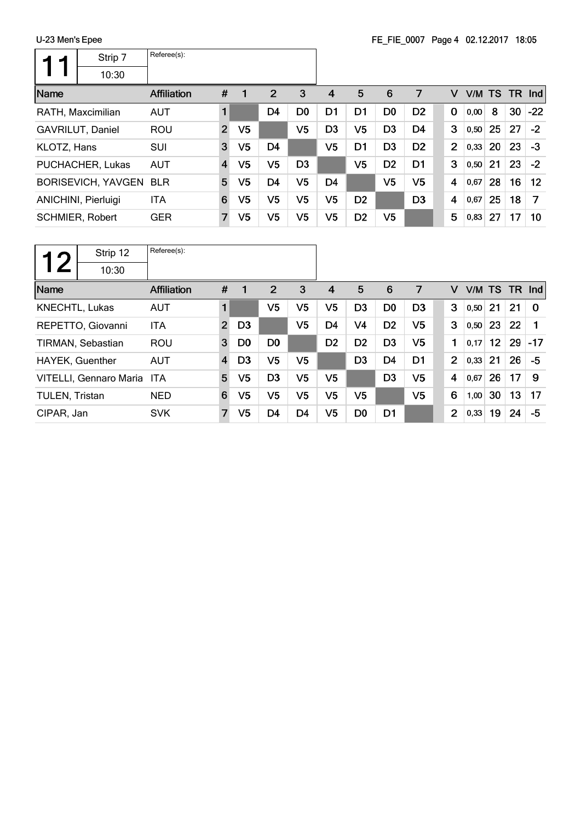|             | <b>U-LU IVIUII J LUUU</b> |                    |                         |                |                |                |                |                |                | $1 - 1$ is $0007 - 1000 - 7$ 02.12.2017 10.00 |                |               |    |    |         |
|-------------|---------------------------|--------------------|-------------------------|----------------|----------------|----------------|----------------|----------------|----------------|-----------------------------------------------|----------------|---------------|----|----|---------|
|             | Strip 7                   | Referee(s):        |                         |                |                |                |                |                |                |                                               |                |               |    |    |         |
|             | 10:30                     |                    |                         |                |                |                |                |                |                |                                               |                |               |    |    |         |
| Name        |                           | <b>Affiliation</b> | #                       |                | 2              | 3              | 4              | 5              | 6              | 7                                             | v              | V/M TS TR Ind |    |    |         |
|             | RATH, Maxcimilian         | AUT                | $\mathbf{1}$            |                | D <sub>4</sub> | D <sub>0</sub> | D <sub>1</sub> | D <sub>1</sub> | D <sub>0</sub> | D <sub>2</sub>                                | $\mathbf 0$    | 0,00          | 8  | 30 | $-22$   |
|             | <b>GAVRILUT, Daniel</b>   | <b>ROU</b>         | $\overline{2}$          | V <sub>5</sub> |                | V <sub>5</sub> | D <sub>3</sub> | V <sub>5</sub> | D <sub>3</sub> | D <sub>4</sub>                                | 3              | 0,50          | 25 | 27 | $-2$    |
| KLOTZ, Hans |                           | <b>SUI</b>         | 3                       | V <sub>5</sub> | D <sub>4</sub> |                | V <sub>5</sub> | D <sub>1</sub> | D <sub>3</sub> | D <sub>2</sub>                                | $\overline{2}$ | 0,33          | 20 | 23 | $-3$    |
|             | PUCHACHER, Lukas          | <b>AUT</b>         | $\overline{\mathbf{4}}$ | V <sub>5</sub> | V <sub>5</sub> | D <sub>3</sub> |                | V <sub>5</sub> | D <sub>2</sub> | D <sub>1</sub>                                | 3              | 0,50          | 21 | 23 | $-2$    |
|             | <b>BORISEVICH, YAVGEN</b> | <b>BLR</b>         | 5                       | V <sub>5</sub> | D <sub>4</sub> | V <sub>5</sub> | D4             |                | V <sub>5</sub> | V <sub>5</sub>                                | 4              | 0.67          | 28 | 16 | $12 \,$ |
|             | ANICHINI, Pierluigi       | <b>ITA</b>         | 6                       | V <sub>5</sub> | V <sub>5</sub> | V <sub>5</sub> | V <sub>5</sub> | D <sub>2</sub> |                | D <sub>3</sub>                                | 4              | 0,67          | 25 | 18 | 7       |
|             | <b>SCHMIER, Robert</b>    | <b>GER</b>         |                         | V <sub>5</sub> | V <sub>5</sub> | V <sub>5</sub> | V <sub>5</sub> | D <sub>2</sub> | V <sub>5</sub> |                                               | 5              | 0,83          | 27 | 17 | 10      |
|             |                           |                    |                         |                |                |                |                |                |                |                                               |                |               |    |    |         |

|                 | Strip 12               | Referee(s):        |                |                |                |                |                |                |                |                |                |      |           |     |            |
|-----------------|------------------------|--------------------|----------------|----------------|----------------|----------------|----------------|----------------|----------------|----------------|----------------|------|-----------|-----|------------|
|                 | 10:30                  |                    |                |                |                |                |                |                |                |                |                |      |           |     |            |
| Name            |                        | <b>Affiliation</b> | #              | 1              | 2              | 3              | 4              | 5              | 6              | 7              | v              | V/M  | <b>TS</b> | TR. | <b>Ind</b> |
| KNECHTL, Lukas  |                        | <b>AUT</b>         | 1              |                | V <sub>5</sub> | V5             | V5             | D <sub>3</sub> | D <sub>0</sub> | D <sub>3</sub> | 3              | 0,50 | 21        | 21  | $\Omega$   |
|                 | REPETTO, Giovanni      | <b>ITA</b>         | $\overline{2}$ | D <sub>3</sub> |                | V5             | D4             | V <sub>4</sub> | D <sub>2</sub> | V5             | 3              | 0,50 | 23        | 22  |            |
|                 | TIRMAN, Sebastian      | <b>ROU</b>         | 3              | D <sub>0</sub> | D <sub>0</sub> |                | D <sub>2</sub> | D <sub>2</sub> | D <sub>3</sub> | V <sub>5</sub> | 1              | 0,17 | 12        | 29  | $-17$      |
| HAYEK, Guenther |                        | <b>AUT</b>         | 4              | D <sub>3</sub> | V <sub>5</sub> | V <sub>5</sub> |                | D <sub>3</sub> | D <sub>4</sub> | D <sub>1</sub> | $\overline{2}$ | 0,33 | 21        | 26  | -5         |
|                 | VITELLI, Gennaro Maria | <b>ITA</b>         | 5              | V <sub>5</sub> | D <sub>3</sub> | V <sub>5</sub> | V5             |                | D <sub>3</sub> | V <sub>5</sub> | 4              | 0,67 | 26        | 17  | 9          |
| TULEN, Tristan  |                        | <b>NED</b>         | 6              | V5             | V <sub>5</sub> | V5             | V <sub>5</sub> | V <sub>5</sub> |                | V <sub>5</sub> | 6              | 1,00 | 30        | 13  | 17         |
| CIPAR, Jan      |                        | <b>SVK</b>         | 7              | V5             | D <sub>4</sub> | D <sub>4</sub> | V <sub>5</sub> | D <sub>0</sub> | D <sub>1</sub> |                | $\overline{2}$ | 0,33 | 19        | 24  | -5         |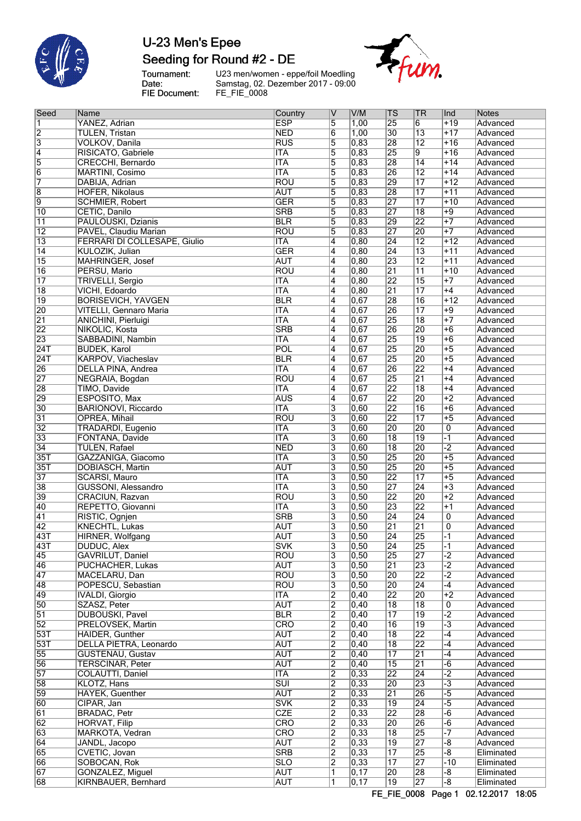

## U-23 Men's Epee Seeding for Round #2 - DE

Tournament:<br>Date:<br>FIE Document:

U23 men/women - eppe/foil Moedling Samstag, 02. Dezember 2017 - 09:00 FE\_FIE\_0008



| Seed                               | Name                                        | Country                  | $\overline{\mathsf{v}}$ | V/M               | <b>TS</b>             | <b>TR</b>                          | Ind                     | <b>Notes</b>         |
|------------------------------------|---------------------------------------------|--------------------------|-------------------------|-------------------|-----------------------|------------------------------------|-------------------------|----------------------|
| $\overline{1}$                     | YANEZ, Adrian                               | <b>ESP</b>               | $\overline{5}$          | 1,00              | 25                    | 6                                  | $+19$                   | Advanced             |
| $\overline{2}$                     | TULEN, Tristan                              | <b>NED</b>               | 6                       | 1,00              | $\overline{30}$       | $\overline{13}$                    | $+17$                   | Advanced             |
| $\overline{3}$                     | <b>VOLKOV, Danila</b>                       | <b>RUS</b>               | 5                       | 0,83              | 28                    | $\overline{12}$                    | $+16$                   | Advanced             |
| $\overline{4}$                     | RISICATO, Gabriele                          | <b>ITA</b>               | $\overline{5}$          | 0,83              | 25                    | $\overline{9}$                     | $+16$                   | Advanced             |
| $\overline{5}$                     | <b>CRECCHI</b> , Bernardo                   | <b>ITA</b>               | 5                       | 0,83              | 28                    | $\overline{14}$                    | $+14$                   | Advanced             |
| $\overline{6}$                     | <b>MARTINI, Cosimo</b>                      | <b>ITA</b>               | $\overline{5}$          | 0,83              | 26                    | $\overline{12}$                    | $+14$                   | Advanced             |
| $\overline{7}$                     | DABIJA, Adrian                              | <b>ROU</b>               | $\overline{5}$          | 0,83              | 29                    | $\overline{17}$                    | $+12$                   | Advanced             |
| $\overline{8}$                     | <b>HOFER, Nikolaus</b>                      | <b>AUT</b>               | $\overline{5}$          | 0,83              | 28                    | $\overline{17}$                    | $+11$                   | Advanced             |
| 9                                  | <b>SCHMIER, Robert</b>                      | <b>GER</b>               | $\overline{5}$          | 0,83              | $\overline{27}$       | $\overline{17}$                    | $+10$                   | Advanced             |
| $\overline{10}$                    | CETIC, Danilo                               | <b>SRB</b>               | 5                       | 0,83              | $\overline{27}$       | $\overline{18}$                    | $+9$                    | Advanced             |
| $\overline{11}$                    | PAULOUSKI, Dzianis                          | <b>BLR</b>               | $\overline{5}$          | 0,83              | 29                    | $\overline{22}$                    | $+7$                    | Advanced             |
| $\overline{12}$                    | PAVEL, Claudiu Marian                       | <b>ROU</b>               | 5                       | 0,83              | 27                    | 20                                 | $+7$                    | Advanced             |
| $\overline{13}$                    | FERRARI DI COLLESAPE, Giulio                | <b>ITA</b>               | 4                       | 0,80              | $\overline{24}$       | $\overline{12}$                    | $+12$                   | Advanced             |
| 14                                 | KULOZIK, Julian                             | <b>GER</b>               | $\overline{4}$          | 0,80              | $\overline{24}$       | $\overline{13}$                    | $+11$                   | Advanced             |
| $\overline{15}$                    | <b>MAHRINGER, Josef</b>                     | <b>AUT</b>               | 4                       | 0,80              | 23                    | $\overline{12}$                    | $+11$                   | Advanced             |
| $\overline{16}$                    | PERSU, Mario                                | $\overline{ROU}$         | $\overline{4}$          | 0,80              | $\overline{21}$       | $\overline{11}$                    | $+10$                   | Advanced             |
| $\overline{17}$                    | <b>TRIVELLI, Sergio</b>                     | <b>ITA</b>               | 4                       | 0,80              | 22<br>$\overline{21}$ | $\overline{15}$<br>$\overline{17}$ | $+7$<br>$+4$            | Advanced             |
| $\overline{18}$<br>$\overline{19}$ | VICHI, Edoardo<br><b>BORISEVICH, YAVGEN</b> | <b>ITA</b><br><b>BLR</b> | 4<br>$\overline{4}$     | 0,80<br>0,67      | 28                    | $\overline{16}$                    | $+12$                   | Advanced<br>Advanced |
| 20                                 | VITELLI, Gennaro Maria                      | <b>ITA</b>               | $\overline{4}$          | 0,67              | 26                    | $\overline{17}$                    | $+9$                    | Advanced             |
| $\overline{21}$                    | <b>ANICHINI</b> , Pierluigi                 | <b>ITA</b>               | 4                       | 0,67              | 25                    | $\overline{18}$                    | $+7$                    | Advanced             |
| 22                                 | NIKOLIC, Kosta                              | <b>SRB</b>               | $\overline{4}$          | 0,67              | 26                    | 20                                 | $+6$                    | Advanced             |
| 23                                 | SABBADINI, Nambin                           | <b>ITA</b>               | $\overline{4}$          | 0,67              | 25                    | $\overline{19}$                    | $+6$                    | Advanced             |
| $\sqrt{24T}$                       | <b>BUDEK, Karol</b>                         | POL                      | 4                       | 0,67              | 25                    | 20                                 | $+5$                    | Advanced             |
| $\overline{24T}$                   | KARPOV, Viacheslav                          | <b>BLR</b>               | $\overline{4}$          | 0,67              | 25                    | 20                                 | $\overline{+5}$         | Advanced             |
| 26                                 | DELLA PINA, Andrea                          | <b>ITA</b>               | $\overline{4}$          | 0,67              | 26                    | $\overline{22}$                    | $+4$                    | Advanced             |
| $\overline{27}$                    | NEGRAIA, Bogdan                             | <b>ROU</b>               | 4                       | 0,67              | 25                    | $\overline{21}$                    | $+4$                    | Advanced             |
| 28                                 | TIMO, Davide                                | <b>ITA</b>               | 4                       | 0,67              | 22                    | $\overline{18}$                    | $+4$                    | Advanced             |
| 29                                 | ESPOSITO, Max                               | <b>AUS</b>               | $\overline{4}$          | 0,67              | 22                    | 20                                 | $+2$                    | Advanced             |
| $\overline{30}$                    | <b>BARIONOVI, Riccardo</b>                  | <b>ITA</b>               | 3                       | 0,60              | 22                    | $\overline{16}$                    | $+6$                    | Advanced             |
| $\overline{31}$                    | <b>OPREA, Mihail</b>                        | <b>ROU</b>               | $\overline{3}$          | 0,60              | $\overline{22}$       | $\overline{17}$                    | $+5$                    | Advanced             |
| $\overline{32}$                    | <b>TRADARDI, Eugenio</b>                    | <b>ITA</b>               | $\overline{3}$          | 0,60              | 20                    | $\overline{20}$                    | 0                       | Advanced             |
| $\overline{33}$                    | FONTANA, Davide                             | <b>ITA</b>               | $\overline{3}$          | 0,60              | $\overline{18}$       | $\overline{19}$                    | $\overline{\mathbf{1}}$ | Advanced             |
| $\overline{34}$                    | <b>TULEN, Rafael</b>                        | <b>NED</b>               | $\overline{3}$          | 0,60              | $\overline{18}$       | 20                                 | $\overline{-2}$         | Advanced             |
| 35T                                | GAZZANIGA, Giacomo                          | <b>ITA</b>               | $\overline{3}$          | 0,50              | 25                    | 20                                 | $\overline{+5}$         | Advanced             |
| 35T                                | DOBIASCH, Martin                            | <b>AUT</b>               | 3                       | 0,50              | 25                    | 20                                 | $\overline{+5}$         | Advanced             |
| $\overline{37}$                    | <b>SCARSI, Mauro</b>                        | <b>ITA</b>               | $\overline{3}$          | 0,50              | 22                    | $\overline{17}$                    | $+5$                    | Advanced             |
| 38                                 | GUSSONI, Alessandro                         | <b>ITA</b>               | $\overline{3}$          | 0,50              | 27                    | $\overline{24}$                    | $+3$                    | Advanced             |
| 39                                 | <b>CRACIUN, Razvan</b>                      | <b>ROU</b>               | 3                       | 0,50              | 22                    | 20                                 | $+2$                    | Advanced             |
| 40                                 | REPETTO, Giovanni                           | <b>ITA</b>               | $\overline{3}$          | 0,50              | 23                    | $\overline{22}$                    | $+1$                    | Advanced             |
| $\overline{41}$                    | RISTIC, Ognjen                              | <b>SRB</b>               | $\overline{3}$          | 0,50              | $\overline{24}$       | $\overline{24}$                    | $\overline{0}$          | Advanced             |
| $\overline{42}$                    | <b>KNECHTL, Lukas</b>                       | <b>AUT</b>               | $\overline{\mathbf{3}}$ | 0,50              | $\overline{21}$       | $\overline{21}$                    | 0                       | Advanced             |
| $\overline{43T}$                   | HIRNER, Wolfgang                            | <b>AUT</b>               | $\overline{\mathbf{3}}$ | 0,50              | $\overline{24}$       | $\overline{25}$                    | -1                      | Advanced             |
| $\overline{43T}$                   | <b>DUDUC, Alex</b>                          | <b>SVK</b>               | $\overline{3}$          | 0,50              | $\overline{24}$       | 25                                 | $\overline{-1}$         | Advanced             |
| $\overline{45}$                    | GAVRILUT, Daniel                            | <b>ROU</b>               | $\overline{3}$          | 0, 50             | 25                    | 27                                 | $-2$                    | Advanced             |
| $\overline{46}$                    | PUCHACHER, Lukas                            | <b>AUT</b>               | 3                       | 0, 50             | 21                    | 23                                 | $-2$                    | Advanced             |
| $\overline{47}$                    | MACELARU, Dan                               | <b>ROU</b>               | $\overline{3}$          | 0,50              | 20                    | 22                                 | $\overline{-2}$         | Advanced             |
| 48                                 | POPESCU, Sebastian                          | <b>ROU</b>               | $\overline{\mathbf{3}}$ | 0,50              | 20                    | 24                                 | $-4$                    | Advanced             |
| 49                                 | IVALDI, Giorgio                             | <b>ITA</b>               | $\overline{2}$          | $ 0,40\rangle$    | 22                    | 20                                 | $+2$                    | Advanced             |
| 50                                 | SZASZ, Peter                                | <b>AUT</b>               | $\overline{2}$          | 0,40              | $\overline{18}$       | $\overline{18}$                    | 0                       | Advanced             |
| $\overline{51}$                    | <b>DUBOUSKI, Pavel</b>                      | <b>BLR</b>               | $\overline{2}$          | 0,40              | $\overline{17}$       | 19                                 | $\overline{-2}$         | Advanced             |
| $\overline{52}$                    | PRELOVSEK, Martin                           | <b>CRO</b>               | $\overline{2}$          | $ 0,40\rangle$    | $\overline{16}$       | 19                                 | $\overline{-3}$         | Advanced             |
| 53T                                | HAIDER, Gunther                             | <b>AUT</b>               | $\overline{2}$          | 0,40              | $\overline{18}$       | $\overline{22}$                    | -4                      | Advanced             |
| 53T                                | DELLA PIETRA, Leonardo                      | <b>AUT</b>               | $\overline{2}$          | 0,40              | $\overline{18}$       | $\overline{22}$                    | $-4$                    | Advanced             |
| 55                                 | GUSTENAU, Gustav                            | <b>AUT</b>               | $\overline{2}$          | $ 0,40\rangle$    | 17                    | $\overline{21}$                    | $-4$                    | Advanced             |
| 56                                 | <b>TERSCINAR, Peter</b>                     | AUT                      | $\overline{2}$          | 0,40              | 15                    | $\overline{21}$                    | -6                      | Advanced             |
| 57                                 | <b>COLAUTTI, Daniel</b>                     | <b>ITA</b>               | $\overline{2}$          | 0,33              | 22                    | 24                                 | $\overline{-2}$         | Advanced             |
| 58                                 | KLOTZ, Hans                                 | $\overline{\text{SUI}}$  | $\overline{2}$          | 0,33              | 20                    | 23                                 | $\overline{-3}$         | Advanced             |
| 59                                 | HAYEK, Guenther                             | <b>AUT</b>               | $\overline{2}$          | 0,33              | $\overline{21}$       | 26                                 | $-5$                    | Advanced             |
| 60                                 | CIPAR, Jan                                  | <b>SVK</b>               | $\overline{2}$          | 0,33              | $\overline{19}$       | $\overline{24}$                    | $\overline{-5}$         | Advanced             |
| $\overline{61}$                    | <b>BRADAC, Petr</b>                         | CZE                      | $\overline{2}$          | 0,33              | 22                    | 28                                 | $-6$                    | Advanced             |
| $\overline{62}$                    | HORVAT, Filip                               | <b>CRO</b>               | $\overline{2}$          | $\overline{0,33}$ | 20                    | 26                                 | $\overline{-6}$         | Advanced             |
| 63                                 | MARKOTA, Vedran                             | CRO                      | $\overline{2}$          | 0,33              | $\overline{18}$       | 25                                 | -7                      | Advanced             |
| 64                                 | JANDL, Jacopo                               | <b>AUT</b>               | $\overline{2}$          | 0,33              | 19                    | $\overline{27}$                    | -8                      | Advanced             |
| 65                                 | CVETIC, Jovan                               | <b>SRB</b>               | $\overline{2}$          | $\overline{0,33}$ | 17                    | 25                                 | -8                      | Eliminated           |
| 66<br>67                           | SOBOCAN, Rok                                | <b>SLO</b>               | $\overline{2}$          | $\overline{0,33}$ | $\overline{17}$       | $\overline{27}$                    | $-10$                   | Eliminated           |
|                                    | GONZALEZ, Miguel                            | <b>AUT</b>               | 1                       | $\overline{0,17}$ | 20<br>$\overline{19}$ | 28<br>$\overline{27}$              | -8                      | Eliminated           |
| 68                                 | KIRNBAUER, Bernhard                         | <b>AUT</b>               | 1                       | $\overline{0,17}$ |                       |                                    | $-8$                    | Eliminated           |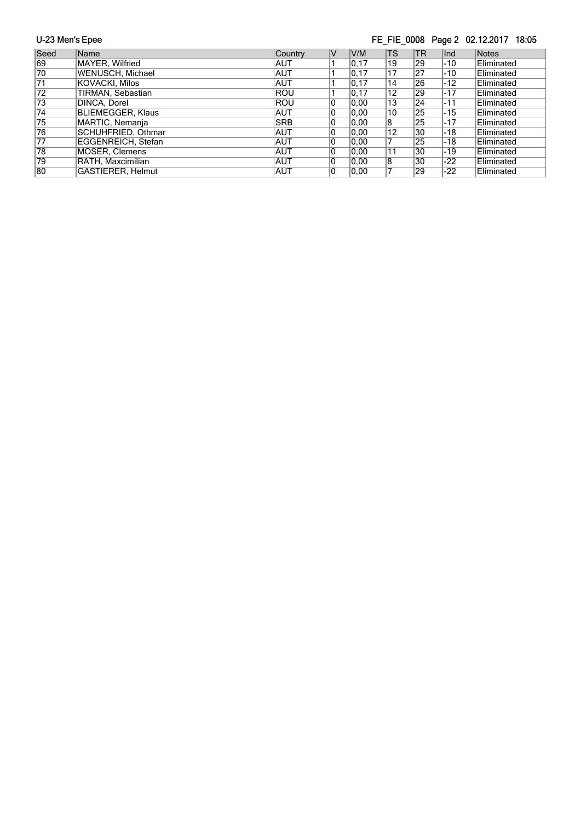## FE\_FIE\_0008 Page 2 02.12.2017 18:05

| Seed            | Name                     | Country    | $\vee$ | V/M   | <b>TS</b> | <b>TR</b> | Ind   | Notes      |
|-----------------|--------------------------|------------|--------|-------|-----------|-----------|-------|------------|
| 69              | MAYER, Wilfried          | IAUT       |        | 0.17  | 19        | 29        | $-10$ | Eliminated |
| 70              | WENUSCH, Michael         | IAUT       |        | 0, 17 | 17        | 27        | -10   | Eliminated |
| $\overline{71}$ | <b>KOVACKI, Milos</b>    | IAUT       |        | 0,17  | 14        | 26        | $-12$ | Eliminated |
| $\overline{72}$ | TIRMAN, Sebastian        | ROU        |        | 0.17  | 12        | 29        | $-17$ | Eliminated |
| $\overline{73}$ | DINCA, Dorel             | ROU        | 10     | 0.00  | 13        | 24        | $-11$ | Eliminated |
| $\overline{74}$ | <b>BLIEMEGGER, Klaus</b> | IAUT       | 10     | 0.00  | 10        | 25        | $-15$ | Eliminated |
| 75              | MARTIC, Nemanja          | <b>SRB</b> | 0      | 0.00  | 8         | 25        | $-17$ | Eliminated |
| 76              | SCHUHFRIED, Othmar       | <b>AUT</b> | 10     | 0.00  | 12        | 30        | $-18$ | Eliminated |
| 77              | EGGENREICH, Stefan       | <b>AUT</b> | 0      | 0.00  |           | 25        | -18   | Eliminated |
| 78              | MOSER, Clemens           | <b>AUT</b> | 10     | 0.00  | 11        | 30        | -19   | Eliminated |
| 79              | RATH, Maxcimilian        | IAUT       | 10     | 0.00  | 8         | 30        | $-22$ | Eliminated |
| 80              | <b>GASTIERER, Helmut</b> | IAUT       | 10     | 0,00  |           | 29        | $-22$ | Eliminated |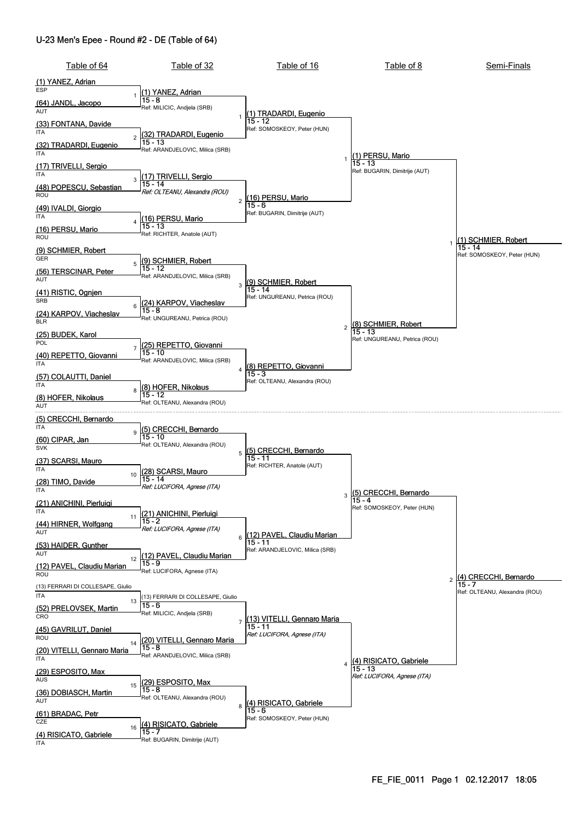## U-23 Men's Epee - Round #2 - DE (Table of 64)

| Table of 64                                            | Table of 32                                                          | Table of 16                                                             | Table of 8                                                     | Semi-Finals                             |
|--------------------------------------------------------|----------------------------------------------------------------------|-------------------------------------------------------------------------|----------------------------------------------------------------|-----------------------------------------|
| (1) YANEZ, Adrian<br><b>ESP</b>                        |                                                                      |                                                                         |                                                                |                                         |
| <u>(64) JANDL, Jacopo</u><br><b>AUT</b>                | (1) YANEZ, Adrian<br>$15 - 8$<br>Ref: MILICIC, Andjela (SRB)         | (1) TRADARDI, Eugenio                                                   |                                                                |                                         |
| <u>(33) FONTANA, Davide</u><br><b>ITA</b>              |                                                                      | 15 - 12<br>Ref: SOMOSKEOY, Peter (HUN)                                  |                                                                |                                         |
| $\overline{2}$<br>(32) TRADARDI, Eugenio<br>ITA        | (32) TRADARDI, Eugenio<br>15 - 13<br>Ref: ARANDJELOVIC, Milica (SRB) |                                                                         | <u>(1) PERSU, Mario</u>                                        |                                         |
| (17) TRIVELLI, Sergio<br><b>ITA</b><br>3               | (17) TRIVELLI, Sergio                                                |                                                                         | 15 - 13<br>Ref: BUGARIN, Dimitrije (AUT)                       |                                         |
| (48) POPESCU, Sebastian<br>ROU                         | 15 - 14<br>Ref: OLTEANU, Alexandra (ROU)                             | 16) PERSU, Mario                                                        |                                                                |                                         |
| (49) IVALDI, Giorgio<br><b>ITA</b>                     | $\overline{c}$<br>(16) PERSU, Mario                                  | 15 - 6<br>Ref: BUGARIN, Dimitrije (AUT)                                 |                                                                |                                         |
| (16) PERSU, Mario<br>ROU                               | 15 - 13<br>Ref: RICHTER, Anatole (AUT)                               |                                                                         |                                                                | (1) SCHMIER, Robert                     |
| (9) SCHMIER, Robert                                    |                                                                      |                                                                         |                                                                | 15 - 14<br>Ref: SOMOSKEOY, Peter (HUN)  |
| GER<br>5<br><u>(56) TERSCINAR, Peter</u><br><b>AUT</b> | (9) SCHMIER, Robert<br>15 - 12<br>Ref: ARANDJELOVIC, Milica (SRB)    | (9) SCHMIER, Robert                                                     |                                                                |                                         |
| (41) RISTIC, Ognjen<br>SRB<br>6                        | 3<br>(24) KARPOV, Viacheslav                                         | 15 - 14<br>Ref: UNGUREANU, Petrica (ROU)                                |                                                                |                                         |
| <u>(24) KARPOV, Viacheslav</u><br><b>BLR</b>           | 15 - 8<br>Ref: UNGUREANU, Petrica (ROU)                              | $\overline{2}$                                                          | (8) SCHMIER, Robert<br>15 - 13                                 |                                         |
| (25) BUDEK, Karol<br>POL<br>7                          | (25) REPETTO, Giovanni                                               |                                                                         | Ref: UNGUREANU, Petrica (ROU)                                  |                                         |
| <u>(40) REPETTO, Giovanni</u><br><b>ITA</b>            | 15 - 10<br>Ref: ARANDJELOVIC, Milica (SRB)<br>4                      | (8) REPETTO, Giovanni                                                   |                                                                |                                         |
| (57) COLAUTTI, Daniel<br>ITA<br>8                      | (8) HOFER, Nikolaus                                                  | $15 - 3$<br>Ref: OLTEANU, Alexandra (ROU)                               |                                                                |                                         |
| (8) HOFER, Nikolaus<br>AUT                             | 15 - 12<br>Ref: OLTEANU, Alexandra (ROU)                             |                                                                         |                                                                |                                         |
| (5) CRECCHI, Bernardo<br>ITA                           |                                                                      |                                                                         |                                                                |                                         |
| 9<br>(60) CIPAR, Jan<br><b>SVK</b>                     | (5) CRECCHI, Bernardo<br>15 - 10<br>Ref: OLTEANU, Alexandra (ROU)    | (5) CRECCHI, Bernardo                                                   |                                                                |                                         |
| (37) SCARSI, Mauro<br><b>ITA</b>                       | 5                                                                    | 15 - 11<br>Ref: RICHTER, Anatole (AUT)                                  |                                                                |                                         |
| 10<br>(28) TIMO, Davide<br>ITA                         | (28) SCARSI, Mauro<br>15 - 14<br>Ref: LUCIFORA, Agnese (ITA)         |                                                                         |                                                                |                                         |
| (21) ANICHINI, Pierluigi                               |                                                                      | 3                                                                       | (5) CRECCHI, Bernardo<br>15 - 4<br>Ref: SOMOSKEOY, Peter (HUN) |                                         |
| ITA<br>11<br>(44) HIRNER, Wolfgang                     | (21) ANICHINI, Pierluigi<br>$15 - 2$                                 |                                                                         |                                                                |                                         |
| <b>AUT</b>                                             | Ref: LUCIFORA, Agnese (ITA)<br>6                                     | 12) PAVEL, Claudiu Marian<br>15 - 11                                    |                                                                |                                         |
| (53) HAIDER, Gunther<br>AUT<br>12                      | '12) PAVEL, Claudiu Marian                                           | Ref: ARANDJELOVIC, Milica (SRB)                                         |                                                                |                                         |
| (12) PAVEL, Claudiu Marian<br>ROU                      | 15 - 9<br>Ref: LUCIFORA, Agnese (ITA)                                |                                                                         |                                                                | (4) CRECCHI, Bernardo<br>$\overline{2}$ |
| (13) FERRARI DI COLLESAPE, Giulio<br><b>ITA</b>        | 13) FERRARI DI COLLESAPE, Giulio                                     |                                                                         |                                                                | Ref: OLTEANU, Alexandra (ROU)           |
| 13<br>(52) PRELOVSEK, Martin<br><b>CRO</b>             | $15 - 6$<br>Ref: MILICIC, Andjela (SRB)                              |                                                                         |                                                                |                                         |
| (45) GAVRILUT, Daniel                                  | $\overline{7}$                                                       | (13) VITELLI, Gennaro Maria<br>$15 - 11$<br>Ref: LUCIFORA, Agnese (ITA) |                                                                |                                         |
| ROU<br>14<br>(20) VITELLI, Gennaro Maria               | (20) VITELLI, Gennaro Maria<br>$15 - 8$                              |                                                                         |                                                                |                                         |
| ITA                                                    | Ref: ARANDJELOVIC, Milica (SRB)                                      |                                                                         | (4) RISICATO, Gabriele<br>15 - 13                              |                                         |
| (29) ESPOSITO, Max<br><b>AUS</b><br>15                 | (29) ESPOSITO, Max                                                   |                                                                         | Ref: LUCIFORA, Agnese (ITA)                                    |                                         |
| (36) DOBIASCH, Martin<br><b>AUT</b>                    | $15 - 8$<br>Ref: OLTEANU, Alexandra (ROU)<br>8                       | <u> 4) RISICATO, Gabriele</u>                                           |                                                                |                                         |
| <u>(61) BRADAC, Petr</u><br>CZE                        | (4) RISICATO, Gabriele                                               | 15 - 6<br>Ref: SOMOSKEOY, Peter (HUN)                                   |                                                                |                                         |
| 16<br>(4) RISICATO, Gabriele<br><b>ITA</b>             | $15 - 7$<br>Ref: BUGARIN, Dimitrije (AUT)                            |                                                                         |                                                                |                                         |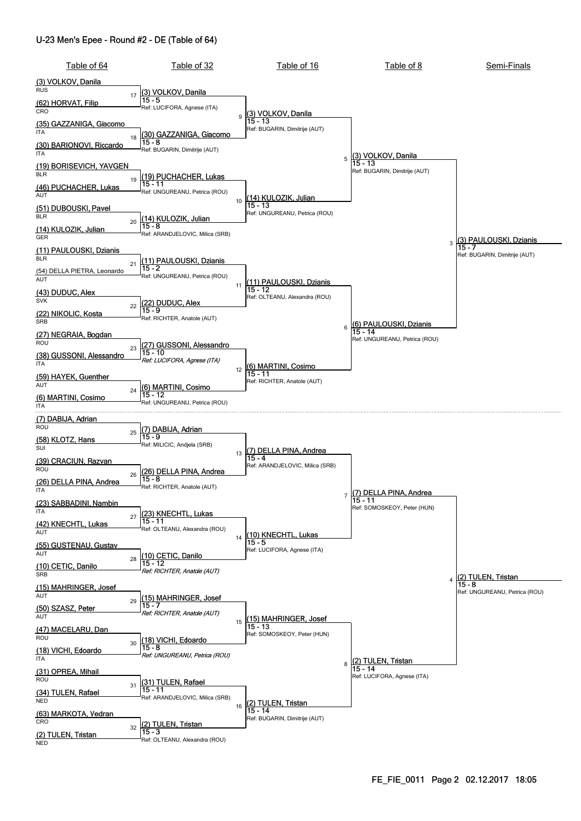#### U-23 Men's Epee - Round #2 - DE (Table of 64)

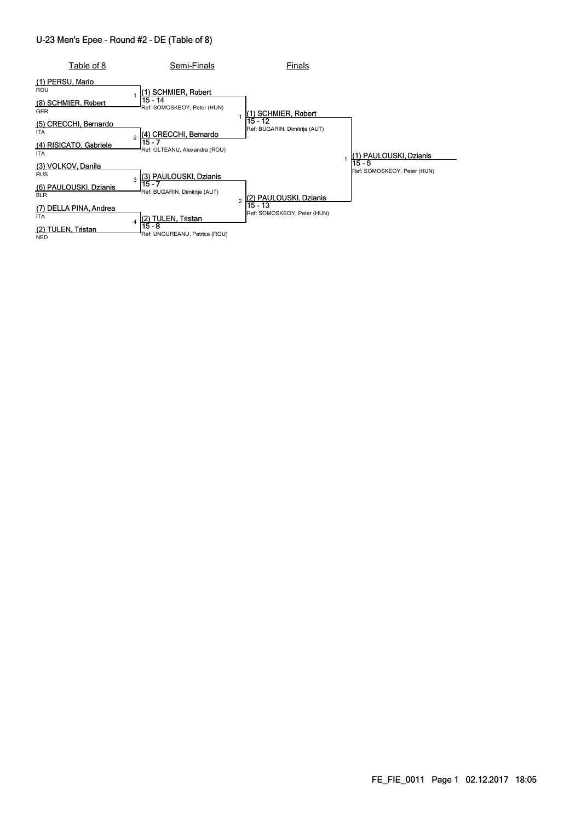## U-23 Men's Epee - Round #2 - DE (Table of 8)

| Table of 8                           | Semi-Finals                             | Finals                                   |                                         |
|--------------------------------------|-----------------------------------------|------------------------------------------|-----------------------------------------|
| (1) PERSU, Mario<br>ROU              | (1) SCHMIER, Robert                     |                                          |                                         |
| (8) SCHMIER, Robert<br><b>GER</b>    | 15 - 14<br>Ref: SOMOSKEOY, Peter (HUN)  | (1) SCHMIER, Robert                      |                                         |
| (5) CRECCHI, Bernardo<br><b>ITA</b>  | (4) CRECCHI, Bernardo                   | 15 - 12<br>Ref: BUGARIN, Dimitrije (AUT) |                                         |
| (4) RISICATO, Gabriele<br><b>ITA</b> | 15 - 7<br>Ref: OLTEANU, Alexandra (ROU) |                                          | (1) PAULOUSKI, Dzianis                  |
| (3) VOLKOV, Danila<br><b>RUS</b>     | (3) PAULOUSKI, Dzianis<br>3             |                                          | $15 - 6$<br>Ref: SOMOSKEOY, Peter (HUN) |
| (6) PAULOUSKI, Dzianis<br><b>BLR</b> | 15 - 7<br>Ref: BUGARIN, Dimitrije (AUT) | (2) PAULOUSKI, Dzianis                   |                                         |
| (7) DELLA PINA, Andrea<br><b>ITA</b> | (2) TULEN, Tristan                      | 15 - 13<br>Ref: SOMOSKEOY, Peter (HUN)   |                                         |
| (2) TULEN, Tristan<br><b>NED</b>     | 15 - 8<br>Ref: UNGUREANU, Petrica (ROU) |                                          |                                         |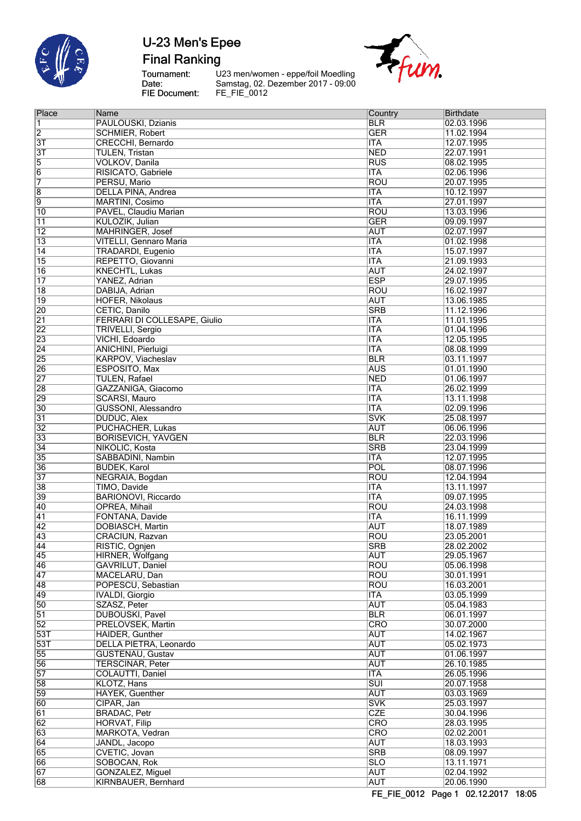

**Final Ranking** 

Tournament:<br>Date:<br>FIE Document:

U23 men/women - eppe/foil Moedling<br>Samstag, 02. Dezember 2017 - 09:00<br>FE\_FIE\_0012



| Place           | Name                                | Country                 | Birthdate  |
|-----------------|-------------------------------------|-------------------------|------------|
| $\vert$ 1       | PAULOUSKI, Dzianis                  | <b>BLR</b>              | 02.03.1996 |
| $\overline{2}$  | <b>SCHMIER, Robert</b>              | <b>GER</b>              | 11.02.1994 |
| $\overline{3T}$ | <b>CRECCHI</b> , Bernardo           | <b>ITA</b>              | 12.07.1995 |
| $\overline{3T}$ | <b>TULEN, Tristan</b>               | <b>NED</b>              | 22.07.1991 |
| $\overline{5}$  | VOLKOV, Danila                      | <b>RUS</b>              | 08.02.1995 |
| $\overline{6}$  | RISICATO, Gabriele                  | <b>ITA</b>              | 02.06.1996 |
| 7               | PERSU, Mario                        | <b>ROU</b>              | 20.07.1995 |
| $\overline{8}$  | <b>DELLA PINA, Andrea</b>           | <b>ITA</b>              | 10.12.1997 |
| $\overline{9}$  | <b>MARTINI, Cosimo</b>              | <b>ITA</b>              | 27.01.1997 |
| 10              | PAVEL, Claudiu Marian               | ROU                     | 13.03.1996 |
| $\overline{11}$ | KULOZIK, Julian                     | <b>GER</b>              | 09.09.1997 |
| 12              | <b>MAHRINGER, Josef</b>             | <b>AUT</b>              | 02.07.1997 |
| $\overline{13}$ | <b>VITELLI, Gennaro Maria</b>       | <b>ITA</b>              | 01.02.1998 |
| $\overline{14}$ | <b>TRADARDI, Eugenio</b>            | <b>ITA</b>              | 15.07.1997 |
| 15              | REPETTO, Giovanni                   | <b>ITA</b>              | 21.09.1993 |
| 16              | <b>KNECHTL, Lukas</b>               | <b>AUT</b>              | 24.02.1997 |
| $\overline{17}$ | YANEZ, Adrian                       | <b>ESP</b>              | 29.07.1995 |
| 18              | DABIJA, Adrian                      | <b>ROU</b>              | 16.02.1997 |
| $ 19\rangle$    | <b>HOFER, Nikolaus</b>              | <b>AUT</b>              | 13.06.1985 |
| $\overline{20}$ | CETIC, Danilo                       | <b>SRB</b>              | 11.12.1996 |
| $\overline{21}$ | <b>FERRARI DI COLLESAPE, Giulio</b> | <b>ITA</b>              | 11.01.1995 |
| $\overline{22}$ | <b>TRIVELLI, Sergio</b>             | <b>ITA</b>              | 01.04.1996 |
| 23              | VICHI, Edoardo                      | <b>ITA</b>              | 12.05.1995 |
| $\overline{24}$ | <b>ANICHINI</b> , Pierluigi         | <b>ITA</b>              | 08.08.1999 |
| $\overline{25}$ | KARPOV, Viacheslav                  | <b>BLR</b>              | 03.11.1997 |
| 26              | ESPOSITO, Max                       | <b>AUS</b>              | 01.01.1990 |
| $\overline{27}$ | <b>TULEN, Rafael</b>                | <b>NED</b>              | 01.06.1997 |
| $\overline{28}$ | GAZZANIGA, Giacomo                  | <b>ITA</b>              | 26.02.1999 |
| 29              | <b>SCARSI, Mauro</b>                | <b>ITA</b>              | 13.11.1998 |
| 30              | GUSSONI, Alessandro                 | <b>ITA</b>              | 02.09.1996 |
| $\overline{31}$ | DUDUC, Alex                         | <b>SVK</b>              | 25.08.1997 |
| $\overline{32}$ | <b>PUCHACHER, Lukas</b>             | <b>AUT</b>              | 06.06.1996 |
| 33              | <b>BORISEVICH, YAVGEN</b>           | <b>BLR</b>              | 22.03.1996 |
| $\overline{34}$ | NIKOLIC, Kosta                      | <b>SRB</b>              | 23.04.1999 |
| 35              | SABBADINI, Nambin                   | <b>ITA</b>              | 12.07.1995 |
| 36              | <b>BUDEK, Karol</b>                 | POL                     | 08.07.1996 |
| $\overline{37}$ | NEGRAIA, Bogdan                     | <b>ROU</b>              | 12.04.1994 |
| 38              | TIMO, Davide                        | <b>ITA</b>              | 13.11.1997 |
| 39              | <b>BARIONOVI, Riccardo</b>          | <b>ITA</b>              | 09.07.1995 |
| $\overline{40}$ | OPREA, Mihail                       | <b>ROU</b>              | 24.03.1998 |
| $\overline{41}$ | FONTANA, Davide                     | <b>ITA</b>              | 16.11.1999 |
| $\overline{42}$ | DOBIASCH, Martin                    | <b>AUT</b>              | 18.07.1989 |
| 43              | <b>CRACIUN, Razvan</b>              | <b>ROU</b>              | 23.05.2001 |
| 44              | RISTIC, Ognjen                      | <b>SRB</b>              | 28.02.2002 |
| 45              | HIRNER, Wolfgang                    | AUT                     | 29.05.1967 |
| 46              | <b>GAVRILUT, Daniel</b>             | ROU                     | 05.06.1998 |
| $\overline{47}$ | MACELARU, Dan                       | ROU                     | 30.01.1991 |
| 48              | POPESCU, Sebastian                  | <b>ROU</b>              | 16.03.2001 |
| 49              | <b>IVALDI, Giorgio</b>              | <b>ITA</b>              | 03.05.1999 |
| 50              | SZASZ, Peter                        | <b>AUT</b>              | 05.04.1983 |
| $\overline{51}$ | <b>DUBOUSKI, Pavel</b>              | <b>BLR</b>              | 06.01.1997 |
| $\overline{52}$ | PRELOVSEK, Martin                   | <b>CRO</b>              | 30.07.2000 |
| 53T             | <b>HAIDER, Gunther</b>              | <b>AUT</b>              | 14.02.1967 |
| 53T             | DELLA PIETRA, Leonardo              | <b>AUT</b>              | 05.02.1973 |
| 55              | <b>GUSTENAU, Gustav</b>             | <b>AUT</b>              | 01.06.1997 |
| 56              | <b>TERSCINAR, Peter</b>             | <b>AUT</b>              | 26.10.1985 |
| 57              | <b>COLAUTTI, Daniel</b>             | <b>ITA</b>              | 26.05.1996 |
| 58              | KLOTZ, Hans                         | $\overline{\text{SUI}}$ | 20.07.1958 |
| 59              | <b>HAYEK, Guenther</b>              | <b>AUT</b>              | 03.03.1969 |
| 60              | CIPAR, Jan                          | <b>SVK</b>              | 25.03.1997 |
| $\overline{61}$ | <b>BRADAC, Petr</b>                 | CZE                     | 30.04.1996 |
| $\overline{62}$ | <b>HORVAT, Filip</b>                | <b>CRO</b>              | 28.03.1995 |
| 63              | MARKOTA, Vedran                     | <b>CRO</b>              | 02.02.2001 |
| 64              | JANDL, Jacopo                       | <b>AUT</b>              | 18.03.1993 |
| 65              | CVETIC, Jovan                       | <b>SRB</b>              | 08.09.1997 |
| 66              | SOBOCAN, Rok                        | $\overline{\text{SLO}}$ | 13.11.1971 |
| $\overline{67}$ | GONZALEZ, Miguel                    | <b>AUT</b>              | 02.04.1992 |
| 68              | KIRNBAUER, Bernhard                 | <b>AUT</b>              | 20.06.1990 |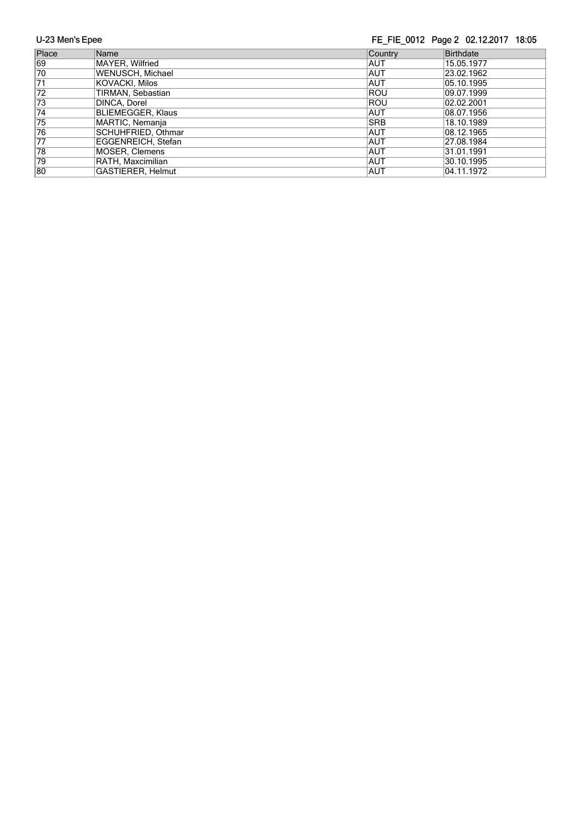## FE\_FIE\_0012 Page 2 02.12.2017 18:05

| Place           | Name                      | Country    | Birthdate   |
|-----------------|---------------------------|------------|-------------|
| 69              | MAYER, Wilfried           | AUT        | 15.05.1977  |
| $\overline{70}$ | WENUSCH, Michael          | <b>AUT</b> | 23.02.1962  |
| $\overline{71}$ | <b>KOVACKI, Milos</b>     | <b>AUT</b> | 05.10.1995  |
| $\overline{72}$ | TIRMAN, Sebastian         | <b>ROU</b> | 109.07.1999 |
| 73              | DINCA, Dorel              | ROU        | 102.02.2001 |
| $\overline{74}$ | <b>BLIEMEGGER, Klaus</b>  | AUT        | 108.07.1956 |
| $\overline{75}$ | MARTIC, Nemanja           | <b>SRB</b> | 18.10.1989  |
| 76              | SCHUHFRIED, Othmar        | AUT        | 08.12.1965  |
| 77              | <b>EGGENREICH, Stefan</b> | AUT        | 27.08.1984  |
| 78              | MOSER, Clemens            | <b>AUT</b> | 31.01.1991  |
| 79              | RATH, Maxcimilian         | <b>AUT</b> | 30.10.1995  |
| $\overline{80}$ | <b>GASTIERER, Helmut</b>  | <b>AUT</b> | 04.11.1972  |